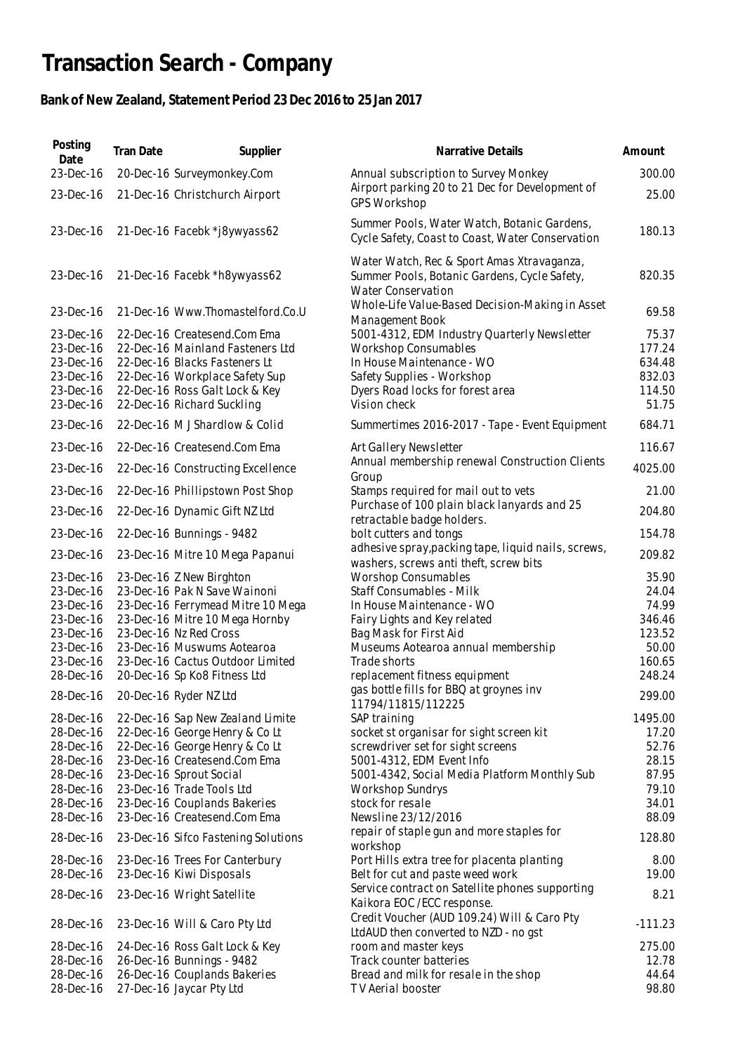## **Transaction Search - Company**

## **Bank of New Zealand, Statement Period 23 Dec 2016 to 25 Jan 2017**

| Posting<br>Date                                                            | Tran Date | Supplier                                                                                                                                                                                            | Narrative Details                                                                                                                                                                          | Amount                                                 |
|----------------------------------------------------------------------------|-----------|-----------------------------------------------------------------------------------------------------------------------------------------------------------------------------------------------------|--------------------------------------------------------------------------------------------------------------------------------------------------------------------------------------------|--------------------------------------------------------|
| 23-Dec-16                                                                  |           | 20-Dec-16 Surveymonkey.Com                                                                                                                                                                          | Annual subscription to Survey Monkey                                                                                                                                                       | 300.00                                                 |
| 23-Dec-16                                                                  |           | 21-Dec-16 Christchurch Airport                                                                                                                                                                      | Airport parking 20 to 21 Dec for Development of<br><b>GPS Workshop</b>                                                                                                                     | 25.00                                                  |
| 23-Dec-16                                                                  |           | 21-Dec-16 Facebk *j8ywyass62                                                                                                                                                                        | Summer Pools, Water Watch, Botanic Gardens,<br>Cycle Safety, Coast to Coast, Water Conservation                                                                                            | 180.13                                                 |
| 23-Dec-16                                                                  |           | 21-Dec-16 Facebk *h8ywyass62                                                                                                                                                                        | Water Watch, Rec & Sport Amas Xtravaganza,<br>Summer Pools, Botanic Gardens, Cycle Safety,<br><b>Water Conservation</b>                                                                    | 820.35                                                 |
| 23-Dec-16                                                                  |           | 21-Dec-16 Www.Thomastelford.Co.U                                                                                                                                                                    | Whole-Life Value-Based Decision-Making in Asset<br>Management Book                                                                                                                         | 69.58                                                  |
| 23-Dec-16<br>23-Dec-16<br>23-Dec-16<br>23-Dec-16<br>23-Dec-16<br>23-Dec-16 |           | 22-Dec-16 Createsend.Com Ema<br>22-Dec-16 Mainland Fasteners Ltd<br>22-Dec-16 Blacks Fasteners Lt<br>22-Dec-16 Workplace Safety Sup<br>22-Dec-16 Ross Galt Lock & Key<br>22-Dec-16 Richard Suckling | 5001-4312, EDM Industry Quarterly Newsletter<br><b>Workshop Consumables</b><br>In House Maintenance - WO<br>Safety Supplies - Workshop<br>Dyers Road locks for forest area<br>Vision check | 75.37<br>177.24<br>634.48<br>832.03<br>114.50<br>51.75 |
| 23-Dec-16                                                                  |           | 22-Dec-16 MJ Shardlow & Colid                                                                                                                                                                       | Summertimes 2016-2017 - Tape - Event Equipment                                                                                                                                             | 684.71                                                 |
| 23-Dec-16                                                                  |           | 22-Dec-16 Createsend.Com Ema                                                                                                                                                                        | Art Gallery Newsletter                                                                                                                                                                     | 116.67                                                 |
| 23-Dec-16                                                                  |           | 22-Dec-16 Constructing Excellence                                                                                                                                                                   | Annual membership renewal Construction Clients<br>Group                                                                                                                                    | 4025.00                                                |
| 23-Dec-16                                                                  |           | 22-Dec-16 Phillipstown Post Shop                                                                                                                                                                    | Stamps required for mail out to vets                                                                                                                                                       | 21.00                                                  |
| 23-Dec-16                                                                  |           | 22-Dec-16 Dynamic Gift NZ Ltd                                                                                                                                                                       | Purchase of 100 plain black lanyards and 25<br>retractable badge holders.                                                                                                                  | 204.80                                                 |
| 23-Dec-16                                                                  |           | 22-Dec-16 Bunnings - 9482                                                                                                                                                                           | bolt cutters and tongs                                                                                                                                                                     | 154.78                                                 |
| 23-Dec-16                                                                  |           | 23-Dec-16 Mitre 10 Mega Papanui                                                                                                                                                                     | adhesive spray, packing tape, liquid nails, screws,<br>washers, screws anti theft, screw bits                                                                                              | 209.82                                                 |
| 23-Dec-16                                                                  |           | 23-Dec-16 Z New Birghton                                                                                                                                                                            | <b>Worshop Consumables</b>                                                                                                                                                                 | 35.90                                                  |
| 23-Dec-16                                                                  |           | 23-Dec-16 Pak N Save Wainoni                                                                                                                                                                        | Staff Consumables - Milk                                                                                                                                                                   | 24.04                                                  |
| 23-Dec-16                                                                  |           | 23-Dec-16 Ferrymead Mitre 10 Mega                                                                                                                                                                   | In House Maintenance - WO                                                                                                                                                                  | 74.99                                                  |
| 23-Dec-16                                                                  |           | 23-Dec-16 Mitre 10 Mega Hornby                                                                                                                                                                      | Fairy Lights and Key related                                                                                                                                                               | 346.46                                                 |
| 23-Dec-16                                                                  |           | 23-Dec-16 Nz Red Cross                                                                                                                                                                              | Bag Mask for First Aid                                                                                                                                                                     | 123.52                                                 |
| 23-Dec-16                                                                  |           | 23-Dec-16 Muswums Aotearoa                                                                                                                                                                          | Museums Aotearoa annual membership                                                                                                                                                         | 50.00                                                  |
| 23-Dec-16                                                                  |           | 23-Dec-16 Cactus Outdoor Limited                                                                                                                                                                    | Trade shorts                                                                                                                                                                               | 160.65                                                 |
| 28-Dec-16                                                                  |           | 20-Dec-16 Sp Ko8 Fitness Ltd                                                                                                                                                                        | replacement fitness equipment                                                                                                                                                              | 248.24                                                 |
| 28-Dec-16                                                                  |           | 20-Dec-16 Ryder NZ Ltd                                                                                                                                                                              | gas bottle fills for BBQ at groynes inv<br>11794/11815/112225                                                                                                                              | 299.00                                                 |
| 28-Dec-16                                                                  |           | 22-Dec-16 Sap New Zealand Limite                                                                                                                                                                    | SAP training                                                                                                                                                                               | 1495.00                                                |
| 28-Dec-16                                                                  |           | 22-Dec-16 George Henry & Co Lt                                                                                                                                                                      | socket st organisar for sight screen kit                                                                                                                                                   | 17.20                                                  |
| 28-Dec-16                                                                  |           | 22-Dec-16 George Henry & Co Lt                                                                                                                                                                      | screwdriver set for sight screens                                                                                                                                                          | 52.76                                                  |
| 28-Dec-16                                                                  |           | 23-Dec-16 Createsend.Com Ema                                                                                                                                                                        | 5001-4312, EDM Event Info                                                                                                                                                                  | 28.15                                                  |
| 28-Dec-16                                                                  |           | 23-Dec-16 Sprout Social                                                                                                                                                                             | 5001-4342, Social Media Platform Monthly Sub                                                                                                                                               | 87.95                                                  |
| 28-Dec-16                                                                  |           | 23-Dec-16 Trade Tools Ltd                                                                                                                                                                           | <b>Workshop Sundrys</b>                                                                                                                                                                    | 79.10                                                  |
| 28-Dec-16                                                                  |           | 23-Dec-16 Couplands Bakeries                                                                                                                                                                        | stock for resale                                                                                                                                                                           | 34.01                                                  |
| 28-Dec-16                                                                  |           | 23-Dec-16 Createsend.Com Ema                                                                                                                                                                        | Newsline 23/12/2016                                                                                                                                                                        | 88.09                                                  |
| 28-Dec-16                                                                  |           | 23-Dec-16 Sifco Fastening Solutions                                                                                                                                                                 | repair of staple gun and more staples for<br>workshop                                                                                                                                      | 128.80                                                 |
| 28-Dec-16<br>28-Dec-16                                                     |           | 23-Dec-16 Trees For Canterbury<br>23-Dec-16 Kiwi Disposals                                                                                                                                          | Port Hills extra tree for placenta planting<br>Belt for cut and paste weed work                                                                                                            | 8.00<br>19.00                                          |
| 28-Dec-16                                                                  |           | 23-Dec-16 Wright Satellite                                                                                                                                                                          | Service contract on Satellite phones supporting                                                                                                                                            | 8.21                                                   |
| 28-Dec-16                                                                  |           | 23-Dec-16 Will & Caro Pty Ltd                                                                                                                                                                       | Kaikora EOC /ECC response.<br>Credit Voucher (AUD 109.24) Will & Caro Pty                                                                                                                  | $-111.23$                                              |
| 28-Dec-16                                                                  |           | 24-Dec-16 Ross Galt Lock & Key                                                                                                                                                                      | LtdAUD then converted to NZD - no gst<br>room and master keys                                                                                                                              | 275.00                                                 |
| 28-Dec-16                                                                  |           | 26-Dec-16 Bunnings - 9482                                                                                                                                                                           | Track counter batteries                                                                                                                                                                    | 12.78                                                  |
| 28-Dec-16                                                                  |           | 26-Dec-16 Couplands Bakeries                                                                                                                                                                        | Bread and milk for resale in the shop                                                                                                                                                      | 44.64                                                  |
| 28-Dec-16                                                                  |           | 27-Dec-16 Jaycar Pty Ltd                                                                                                                                                                            | TV Aerial booster                                                                                                                                                                          | 98.80                                                  |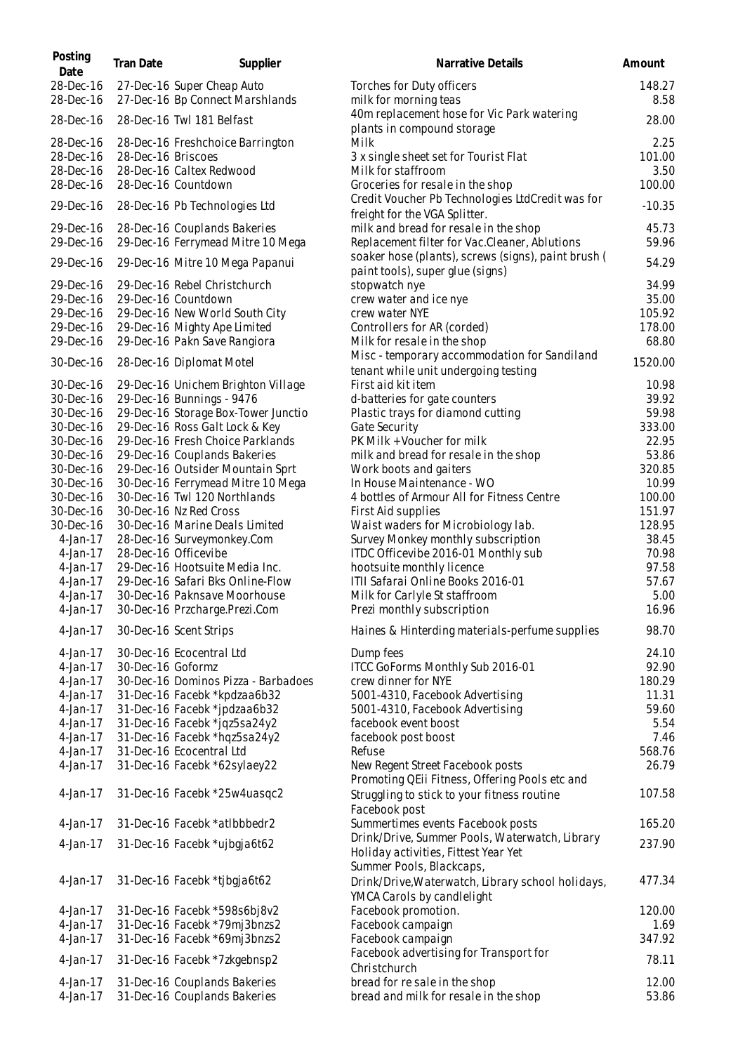| Posting<br>Date        | <b>Tran Date</b>   | Supplier                                                      | Narrative Details                                                                       | Amount         |
|------------------------|--------------------|---------------------------------------------------------------|-----------------------------------------------------------------------------------------|----------------|
| 28-Dec-16<br>28-Dec-16 |                    | 27-Dec-16 Super Cheap Auto<br>27-Dec-16 Bp Connect Marshlands | Torches for Duty officers<br>milk for morning teas                                      | 148.27<br>8.58 |
| 28-Dec-16              |                    | 28-Dec-16 Twl 181 Belfast                                     | 40m replacement hose for Vic Park watering<br>plants in compound storage                | 28.00          |
| 28-Dec-16              |                    | 28-Dec-16 Freshchoice Barrington                              | Milk                                                                                    | 2.25           |
| 28-Dec-16              | 28-Dec-16 Briscoes |                                                               | 3 x single sheet set for Tourist Flat                                                   | 101.00         |
| 28-Dec-16              |                    | 28-Dec-16 Caltex Redwood                                      | Milk for staffroom                                                                      | 3.50           |
| 28-Dec-16              |                    |                                                               |                                                                                         |                |
|                        |                    | 28-Dec-16 Countdown                                           | Groceries for resale in the shop                                                        | 100.00         |
| 29-Dec-16              |                    | 28-Dec-16 Pb Technologies Ltd                                 | Credit Voucher Pb Technologies LtdCredit was for<br>freight for the VGA Splitter.       | $-10.35$       |
| 29-Dec-16              |                    | 28-Dec-16 Couplands Bakeries                                  | milk and bread for resale in the shop                                                   | 45.73          |
| 29-Dec-16              |                    | 29-Dec-16 Ferrymead Mitre 10 Mega                             | Replacement filter for Vac.Cleaner, Ablutions                                           | 59.96          |
| 29-Dec-16              |                    | 29-Dec-16 Mitre 10 Mega Papanui                               | soaker hose (plants), screws (signs), paint brush (<br>paint tools), super glue (signs) | 54.29          |
| 29-Dec-16              |                    | 29-Dec-16 Rebel Christchurch                                  | stopwatch nye                                                                           | 34.99          |
| 29-Dec-16              |                    | 29-Dec-16 Countdown                                           | crew water and ice nye                                                                  | 35.00          |
| 29-Dec-16              |                    | 29-Dec-16 New World South City                                | crew water NYE                                                                          | 105.92         |
|                        |                    |                                                               |                                                                                         |                |
| 29-Dec-16              |                    | 29-Dec-16 Mighty Ape Limited                                  | Controllers for AR (corded)                                                             | 178.00         |
| 29-Dec-16              |                    | 29-Dec-16 Pakn Save Rangiora                                  | Milk for resale in the shop                                                             | 68.80          |
| 30-Dec-16              |                    | 28-Dec-16 Diplomat Motel                                      | Misc - temporary accommodation for Sandiland<br>tenant while unit undergoing testing    | 1520.00        |
| 30-Dec-16              |                    | 29-Dec-16 Unichem Brighton Village                            | First aid kit item                                                                      | 10.98          |
| 30-Dec-16              |                    | 29-Dec-16 Bunnings - 9476                                     | d-batteries for gate counters                                                           | 39.92          |
| 30-Dec-16              |                    | 29-Dec-16 Storage Box-Tower Junctio                           | Plastic trays for diamond cutting                                                       | 59.98          |
| 30-Dec-16              |                    | 29-Dec-16 Ross Galt Lock & Key                                | Gate Security                                                                           | 333.00         |
| 30-Dec-16              |                    | 29-Dec-16 Fresh Choice Parklands                              | PK Milk + Voucher for milk                                                              | 22.95          |
| 30-Dec-16              |                    | 29-Dec-16 Couplands Bakeries                                  | milk and bread for resale in the shop                                                   | 53.86          |
| 30-Dec-16              |                    | 29-Dec-16 Outsider Mountain Sprt                              | Work boots and gaiters                                                                  | 320.85         |
| 30-Dec-16              |                    | 30-Dec-16 Ferrymead Mitre 10 Mega                             | In House Maintenance - WO                                                               | 10.99          |
| 30-Dec-16              |                    | 30-Dec-16 Twl 120 Northlands                                  | 4 bottles of Armour All for Fitness Centre                                              | 100.00         |
| 30-Dec-16              |                    | 30-Dec-16 Nz Red Cross                                        | First Aid supplies                                                                      | 151.97         |
| 30-Dec-16              |                    | 30-Dec-16 Marine Deals Limited                                | Waist waders for Microbiology lab.                                                      | 128.95         |
| 4-Jan-17               |                    | 28-Dec-16 Surveymonkey.Com                                    | Survey Monkey monthly subscription                                                      | 38.45          |
| 4-Jan-17               |                    | 28-Dec-16 Officevibe                                          | ITDC Officevibe 2016-01 Monthly sub                                                     | 70.98          |
| 4-Jan-17               |                    | 29-Dec-16 Hootsuite Media Inc.                                | hootsuite monthly licence                                                               | 97.58          |
|                        |                    |                                                               |                                                                                         |                |
| 4-Jan-17               |                    | 29-Dec-16 Safari Bks Online-Flow                              | ITII Safarai Online Books 2016-01                                                       | 57.67          |
| $4$ -Jan-17            |                    | 30-Dec-16 Paknsave Moorhouse                                  | Milk for Carlyle St staffroom                                                           | 5.00           |
| 4-Jan-17<br>4-Jan-17   |                    | 30-Dec-16 Przcharge.Prezi.Com<br>30-Dec-16 Scent Strips       | Prezi monthly subscription<br>Haines & Hinterding materials-perfume supplies            | 16.96<br>98.70 |
| 4-Jan-17               |                    | 30-Dec-16 Ecocentral Ltd                                      |                                                                                         | 24.10          |
|                        |                    |                                                               | Dump fees                                                                               |                |
| $4$ -Jan-17            | 30-Dec-16 Goformz  |                                                               | ITCC GoForms Monthly Sub 2016-01                                                        | 92.90          |
| $4$ -Jan-17            |                    | 30-Dec-16 Dominos Pizza - Barbadoes                           | crew dinner for NYE                                                                     | 180.29         |
| $4$ -Jan-17            |                    | 31-Dec-16 Facebk *kpdzaa6b32                                  | 5001-4310, Facebook Advertising                                                         | 11.31          |
| 4-Jan-17               |                    | 31-Dec-16 Facebk *jpdzaa6b32                                  | 5001-4310, Facebook Advertising                                                         | 59.60          |
| 4-Jan-17               |                    | 31-Dec-16 Facebk *jqz5sa24y2                                  | facebook event boost                                                                    | 5.54           |
| 4-Jan-17               |                    | 31-Dec-16 Facebk *hqz5sa24y2                                  | facebook post boost                                                                     | 7.46           |
| 4-Jan-17               |                    | 31-Dec-16 Ecocentral Ltd                                      | Refuse                                                                                  | 568.76         |
| 4-Jan-17               |                    | 31-Dec-16 Facebk *62sylaey22                                  | New Regent Street Facebook posts<br>Promoting QEii Fitness, Offering Pools etc and      | 26.79          |
| 4-Jan-17               |                    | 31-Dec-16 Facebk *25w4uasqc2                                  | Struggling to stick to your fitness routine<br>Facebook post                            | 107.58         |
| $4$ -Jan-17            |                    | 31-Dec-16 Facebk *atlbbbedr2                                  | Summertimes events Facebook posts                                                       | 165.20         |
| 4-Jan-17               |                    | 31-Dec-16 Facebk *ujbgja6t62                                  | Drink/Drive, Summer Pools, Waterwatch, Library                                          | 237.90         |
|                        |                    |                                                               | Holiday activities, Fittest Year Yet<br>Summer Pools, Blackcaps,                        |                |
| $4-Jan-17$             |                    | 31-Dec-16 Facebk *tjbgja6t62                                  | Drink/Drive, Waterwatch, Library school holidays,<br>YMCA Carols by candlelight         | 477.34         |
|                        |                    | 31-Dec-16 Facebk *598s6bj8v2                                  | Facebook promotion.                                                                     | 120.00         |
| 4-Jan-17<br>4-Jan-17   |                    |                                                               |                                                                                         | 1.69           |
|                        |                    | 31-Dec-16 Facebk *79mj3bnzs2                                  | Facebook campaign                                                                       |                |
| 4-Jan-17               |                    | 31-Dec-16 Facebk *69mj3bnzs2                                  | Facebook campaign                                                                       | 347.92         |
| $4$ -Jan-17            |                    | 31-Dec-16 Facebk *7zkgebnsp2                                  | Facebook advertising for Transport for<br>Christchurch                                  | 78.11          |
| 4-Jan-17               |                    | 31-Dec-16 Couplands Bakeries                                  | bread for re sale in the shop                                                           | 12.00          |
| 4-Jan-17               |                    | 31-Dec-16 Couplands Bakeries                                  | bread and milk for resale in the shop                                                   | 53.86          |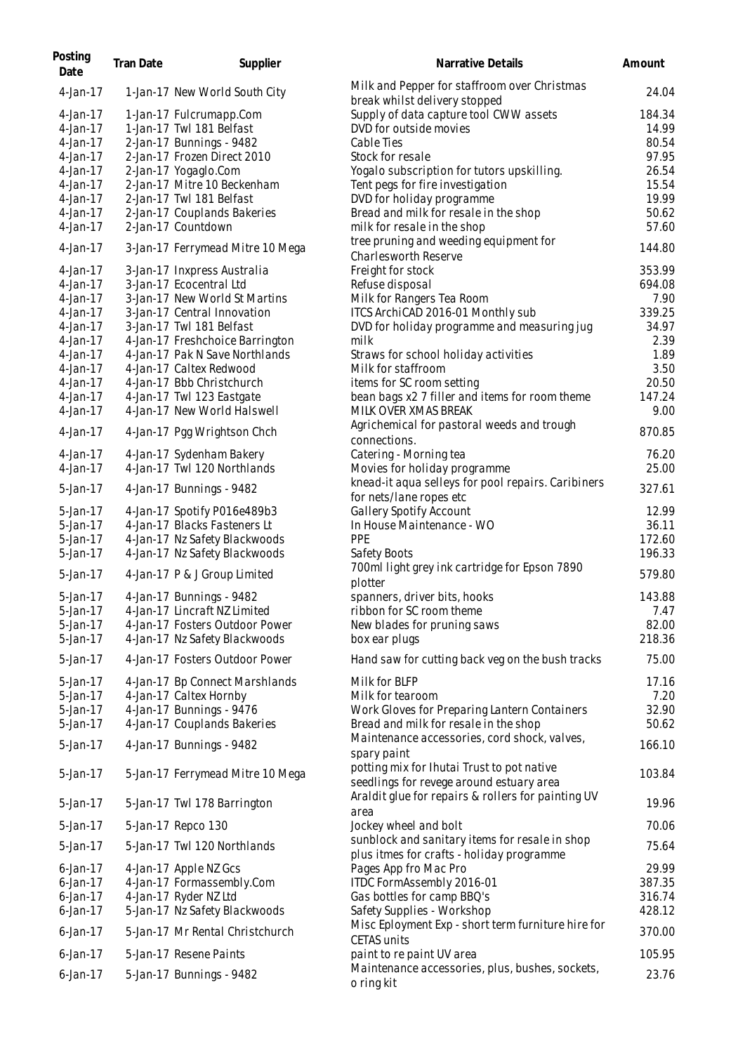| Posting<br>Date | Tran Date | Supplier                         | Narrative Details                                                                           | Amount |
|-----------------|-----------|----------------------------------|---------------------------------------------------------------------------------------------|--------|
| 4-Jan-17        |           | 1-Jan-17 New World South City    | Milk and Pepper for staffroom over Christmas<br>break whilst delivery stopped               | 24.04  |
| 4-Jan-17        |           | 1-Jan-17 Fulcrumapp.Com          | Supply of data capture tool CWW assets                                                      | 184.34 |
| 4-Jan-17        |           | 1-Jan-17 Twl 181 Belfast         | DVD for outside movies                                                                      | 14.99  |
| $4-Jan-17$      |           | 2-Jan-17 Bunnings - 9482         | Cable Ties                                                                                  | 80.54  |
| $4-Jan-17$      |           | 2-Jan-17 Frozen Direct 2010      | Stock for resale                                                                            | 97.95  |
| $4-Jan-17$      |           | 2-Jan-17 Yogaglo.Com             | Yogalo subscription for tutors upskilling.                                                  | 26.54  |
| 4-Jan-17        |           | 2-Jan-17 Mitre 10 Beckenham      | Tent pegs for fire investigation                                                            | 15.54  |
| 4-Jan-17        |           | 2-Jan-17 Twl 181 Belfast         | DVD for holiday programme                                                                   | 19.99  |
| 4-Jan-17        |           | 2-Jan-17 Couplands Bakeries      | Bread and milk for resale in the shop                                                       | 50.62  |
| 4-Jan-17        |           | 2-Jan-17 Countdown               | milk for resale in the shop                                                                 | 57.60  |
| $4-Jan-17$      |           | 3-Jan-17 Ferrymead Mitre 10 Mega | tree pruning and weeding equipment for<br>Charlesworth Reserve                              | 144.80 |
| 4-Jan-17        |           | 3-Jan-17 Inxpress Australia      | Freight for stock                                                                           | 353.99 |
| $4-Jan-17$      |           | 3-Jan-17 Ecocentral Ltd          | Refuse disposal                                                                             | 694.08 |
| 4-Jan-17        |           | 3-Jan-17 New World St Martins    | Milk for Rangers Tea Room                                                                   | 7.90   |
| 4-Jan-17        |           | 3-Jan-17 Central Innovation      | ITCS ArchiCAD 2016-01 Monthly sub                                                           | 339.25 |
| 4-Jan-17        |           | 3-Jan-17 Twl 181 Belfast         | DVD for holiday programme and measuring jug                                                 | 34.97  |
| 4-Jan-17        |           | 4-Jan-17 Freshchoice Barrington  | milk                                                                                        | 2.39   |
| 4-Jan-17        |           | 4-Jan-17 Pak N Save Northlands   | Straws for school holiday activities                                                        | 1.89   |
| 4-Jan-17        |           | 4-Jan-17 Caltex Redwood          | Milk for staffroom                                                                          | 3.50   |
| 4-Jan-17        |           | 4-Jan-17 Bbb Christchurch        | items for SC room setting                                                                   | 20.50  |
| 4-Jan-17        |           | 4-Jan-17 Twl 123 Eastgate        | bean bags x2 7 filler and items for room theme                                              | 147.24 |
| $4-Jan-17$      |           | 4-Jan-17 New World Halswell      | MILK OVER XMAS BREAK                                                                        | 9.00   |
| $4-Jan-17$      |           | 4-Jan-17 Pgg Wrightson Chch      | Agrichemical for pastoral weeds and trough<br>connections.                                  | 870.85 |
| $4$ -Jan-17     |           | 4-Jan-17 Sydenham Bakery         | Catering - Morning tea                                                                      | 76.20  |
| $4$ -Jan-17     |           | 4-Jan-17 Twl 120 Northlands      | Movies for holiday programme                                                                | 25.00  |
| 5-Jan-17        |           | 4-Jan-17 Bunnings - 9482         | knead-it aqua selleys for pool repairs. Caribiners<br>for nets/lane ropes etc               | 327.61 |
| 5-Jan-17        |           | 4-Jan-17 Spotify P016e489b3      | Gallery Spotify Account                                                                     | 12.99  |
| 5-Jan-17        |           | 4-Jan-17 Blacks Fasteners Lt     | In House Maintenance - WO                                                                   | 36.11  |
| 5-Jan-17        |           | 4-Jan-17 Nz Safety Blackwoods    | PPE                                                                                         | 172.60 |
| 5-Jan-17        |           | 4-Jan-17 Nz Safety Blackwoods    | Safety Boots                                                                                | 196.33 |
| 5-Jan-17        |           | 4-Jan-17 P & J Group Limited     | 700ml light grey ink cartridge for Epson 7890<br>plotter                                    | 579.80 |
| 5-Jan-17        |           | 4-Jan-17 Bunnings - 9482         | spanners, driver bits, hooks                                                                | 143.88 |
| 5-Jan-17        |           | 4-Jan-17 Lincraft NZ Limited     | ribbon for SC room theme                                                                    | 7.47   |
| 5-Jan-17        |           | 4-Jan-17 Fosters Outdoor Power   | New blades for pruning saws                                                                 | 82.00  |
| 5-Jan-17        |           | 4-Jan-17 Nz Safety Blackwoods    | box ear plugs                                                                               | 218.36 |
| 5-Jan-17        |           | 4-Jan-17 Fosters Outdoor Power   | Hand saw for cutting back veg on the bush tracks                                            | 75.00  |
| 5-Jan-17        |           | 4-Jan-17 Bp Connect Marshlands   | Milk for BLFP                                                                               | 17.16  |
| 5-Jan-17        |           | 4-Jan-17 Caltex Hornby           | Milk for tearoom                                                                            | 7.20   |
| 5-Jan-17        |           | 4-Jan-17 Bunnings - 9476         | Work Gloves for Preparing Lantern Containers                                                | 32.90  |
| 5-Jan-17        |           | 4-Jan-17 Couplands Bakeries      | Bread and milk for resale in the shop                                                       | 50.62  |
|                 |           |                                  | Maintenance accessories, cord shock, valves,                                                |        |
| 5-Jan-17        |           | 4-Jan-17 Bunnings - 9482         | spary paint                                                                                 | 166.10 |
| 5-Jan-17        |           | 5-Jan-17 Ferrymead Mitre 10 Mega | potting mix for Ihutai Trust to pot native<br>seedlings for revege around estuary area      | 103.84 |
| 5-Jan-17        |           | 5-Jan-17 Twl 178 Barrington      | Araldit glue for repairs & rollers for painting UV<br>area                                  | 19.96  |
| 5-Jan-17        |           | 5-Jan-17 Repco 130               | Jockey wheel and bolt                                                                       | 70.06  |
| 5-Jan-17        |           | 5-Jan-17 Twl 120 Northlands      | sunblock and sanitary items for resale in shop<br>plus itmes for crafts - holiday programme | 75.64  |
| $6$ -Jan-17     |           | 4-Jan-17 Apple NZ Gcs            | Pages App fro Mac Pro                                                                       | 29.99  |
| $6$ -Jan-17     |           | 4-Jan-17 Formassembly.Com        | ITDC FormAssembly 2016-01                                                                   | 387.35 |
| $6$ -Jan-17     |           | 4-Jan-17 Ryder NZ Ltd            | Gas bottles for camp BBQ's                                                                  | 316.74 |
| $6$ -Jan-17     |           | 5-Jan-17 Nz Safety Blackwoods    | Safety Supplies - Workshop                                                                  | 428.12 |
| $6$ -Jan-17     |           | 5-Jan-17 Mr Rental Christchurch  | Misc Eployment Exp - short term furniture hire for                                          | 370.00 |
| $6$ -Jan-17     |           | 5-Jan-17 Resene Paints           | <b>CETAS units</b><br>paint to re paint UV area                                             | 105.95 |
| $6$ -Jan-17     |           | 5-Jan-17 Bunnings - 9482         | Maintenance accessories, plus, bushes, sockets,<br>o ring kit                               | 23.76  |
|                 |           |                                  |                                                                                             |        |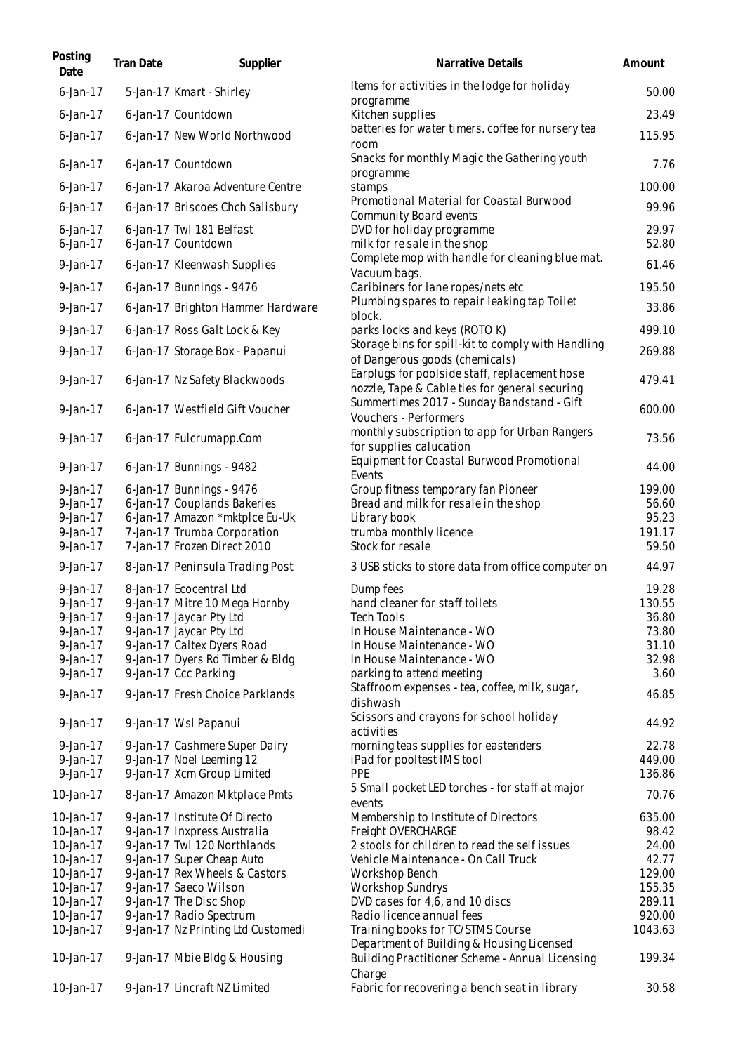| Posting<br>Date            | Tran Date | Supplier                                                      | <b>Narrative Details</b>                                                                        | Amount         |
|----------------------------|-----------|---------------------------------------------------------------|-------------------------------------------------------------------------------------------------|----------------|
| $6$ -Jan-17                |           | 5-Jan-17 Kmart - Shirley                                      | Items for activities in the lodge for holiday<br>programme                                      | 50.00          |
| $6$ -Jan-17                |           | 6-Jan-17 Countdown                                            | Kitchen supplies                                                                                | 23.49          |
| $6$ -Jan-17                |           | 6-Jan-17 New World Northwood                                  | batteries for water timers. coffee for nursery tea<br>room                                      | 115.95         |
| $6$ -Jan-17                |           | 6-Jan-17 Countdown                                            | Snacks for monthly Magic the Gathering youth<br>programme                                       | 7.76           |
| $6$ -Jan-17                |           | 6-Jan-17 Akaroa Adventure Centre                              | stamps                                                                                          | 100.00         |
| $6$ -Jan-17                |           | 6-Jan-17 Briscoes Chch Salisbury                              | Promotional Material for Coastal Burwood<br>Community Board events                              | 99.96          |
| $6$ -Jan-17<br>$6$ -Jan-17 |           | 6-Jan-17 Twl 181 Belfast<br>6-Jan-17 Countdown                | DVD for holiday programme<br>milk for resale in the shop                                        | 29.97<br>52.80 |
| $9$ -Jan-17                |           | 6-Jan-17 Kleenwash Supplies                                   | Complete mop with handle for cleaning blue mat.                                                 | 61.46          |
| 9-Jan-17                   |           | 6-Jan-17 Bunnings - 9476                                      | Vacuum bags.<br>Caribiners for lane ropes/nets etc                                              | 195.50         |
| 9-Jan-17                   |           |                                                               | Plumbing spares to repair leaking tap Toilet                                                    | 33.86          |
|                            |           | 6-Jan-17 Brighton Hammer Hardware                             | block.                                                                                          |                |
| 9-Jan-17                   |           | 6-Jan-17 Ross Galt Lock & Key                                 | parks locks and keys (ROTO K)                                                                   | 499.10         |
| $9$ -Jan-17                |           | 6-Jan-17 Storage Box - Papanui                                | Storage bins for spill-kit to comply with Handling<br>of Dangerous goods (chemicals)            | 269.88         |
| $9$ -Jan-17                |           | 6-Jan-17 Nz Safety Blackwoods                                 | Earplugs for poolside staff, replacement hose<br>nozzle, Tape & Cable ties for general securing | 479.41         |
| 9-Jan-17                   |           | 6-Jan-17 Westfield Gift Voucher                               | Summertimes 2017 - Sunday Bandstand - Gift<br>Vouchers - Performers                             | 600.00         |
| $9$ -Jan-17                |           | 6-Jan-17 Fulcrumapp.Com                                       | monthly subscription to app for Urban Rangers<br>for supplies calucation                        | 73.56          |
| $9$ -Jan-17                |           | 6-Jan-17 Bunnings - 9482                                      | Equipment for Coastal Burwood Promotional<br>Events                                             | 44.00          |
| 9-Jan-17                   |           | 6-Jan-17 Bunnings - 9476                                      | Group fitness temporary fan Pioneer                                                             | 199.00         |
| $9$ -Jan-17<br>$9$ -Jan-17 |           | 6-Jan-17 Couplands Bakeries                                   | Bread and milk for resale in the shop                                                           | 56.60<br>95.23 |
| 9-Jan-17                   |           | 6-Jan-17 Amazon *mktplce Eu-Uk<br>7-Jan-17 Trumba Corporation | Library book<br>trumba monthly licence                                                          | 191.17         |
| $9$ -Jan-17                |           | 7-Jan-17 Frozen Direct 2010                                   | Stock for resale                                                                                | 59.50          |
| $9$ -Jan-17                |           | 8-Jan-17 Peninsula Trading Post                               | 3 USB sticks to store data from office computer on                                              | 44.97          |
| $9$ -Jan-17                |           | 8-Jan-17 Ecocentral Ltd                                       | Dump fees                                                                                       | 19.28          |
| 9-Jan-17                   |           | 9-Jan-17 Mitre 10 Mega Hornby                                 | hand cleaner for staff toilets                                                                  | 130.55         |
| $9$ -Jan-17                |           | 9-Jan-17 Jaycar Pty Ltd                                       | <b>Tech Tools</b>                                                                               | 36.80          |
| $9$ -Jan-17                |           | 9-Jan-17 Jaycar Pty Ltd                                       | In House Maintenance - WO                                                                       | 73.80          |
| $9$ -Jan-17                |           | 9-Jan-17 Caltex Dyers Road                                    | In House Maintenance - WO                                                                       | 31.10          |
| 9-Jan-17                   |           | 9-Jan-17 Dyers Rd Timber & Bldg                               | In House Maintenance - WO                                                                       | 32.98          |
| $9$ -Jan-17                |           | 9-Jan-17 Ccc Parking                                          | parking to attend meeting                                                                       | 3.60           |
| $9$ -Jan-17                |           | 9-Jan-17 Fresh Choice Parklands                               | Staffroom expenses - tea, coffee, milk, sugar,<br>dishwash                                      | 46.85          |
| 9-Jan-17                   |           | 9-Jan-17 Wsl Papanui                                          | Scissors and crayons for school holiday<br>activities                                           | 44.92          |
| $9$ -Jan-17                |           | 9-Jan-17 Cashmere Super Dairy                                 | morning teas supplies for eastenders                                                            | 22.78          |
| 9-Jan-17                   |           | 9-Jan-17 Noel Leeming 12                                      | iPad for pool test IMS tool                                                                     | 449.00         |
| $9$ -Jan-17                |           | 9-Jan-17 Xcm Group Limited                                    | <b>PPE</b><br>5 Small pocket LED torches - for staff at major                                   | 136.86         |
| 10-Jan-17                  |           | 8-Jan-17 Amazon Mktplace Pmts                                 | events                                                                                          | 70.76          |
| 10-Jan-17                  |           | 9-Jan-17 Institute Of Directo                                 | Membership to Institute of Directors                                                            | 635.00         |
| 10-Jan-17                  |           | 9-Jan-17 Inxpress Australia                                   | Freight OVERCHARGE                                                                              | 98.42          |
| 10-Jan-17                  |           | 9-Jan-17 Twl 120 Northlands                                   | 2 stools for children to read the self issues                                                   | 24.00          |
| 10-Jan-17                  |           | 9-Jan-17 Super Cheap Auto                                     | Vehicle Maintenance - On Call Truck                                                             | 42.77          |
| 10-Jan-17                  |           | 9-Jan-17 Rex Wheels & Castors                                 | Workshop Bench                                                                                  | 129.00         |
| 10-Jan-17                  |           | 9-Jan-17 Saeco Wilson                                         | <b>Workshop Sundrys</b>                                                                         | 155.35         |
| 10-Jan-17                  |           | 9-Jan-17 The Disc Shop                                        | DVD cases for 4,6, and 10 discs                                                                 | 289.11         |
| 10-Jan-17                  |           | 9-Jan-17 Radio Spectrum                                       | Radio licence annual fees                                                                       | 920.00         |
| 10-Jan-17                  |           | 9-Jan-17 Nz Printing Ltd Customedi                            | Training books for TC/STMS Course<br>Department of Building & Housing Licensed                  | 1043.63        |
| 10-Jan-17                  |           | 9-Jan-17 Mbie Bldg & Housing                                  | Building Practitioner Scheme - Annual Licensing<br>Charge                                       | 199.34         |
| 10-Jan-17                  |           | 9-Jan-17 Lincraft NZ Limited                                  | Fabric for recovering a bench seat in library                                                   | 30.58          |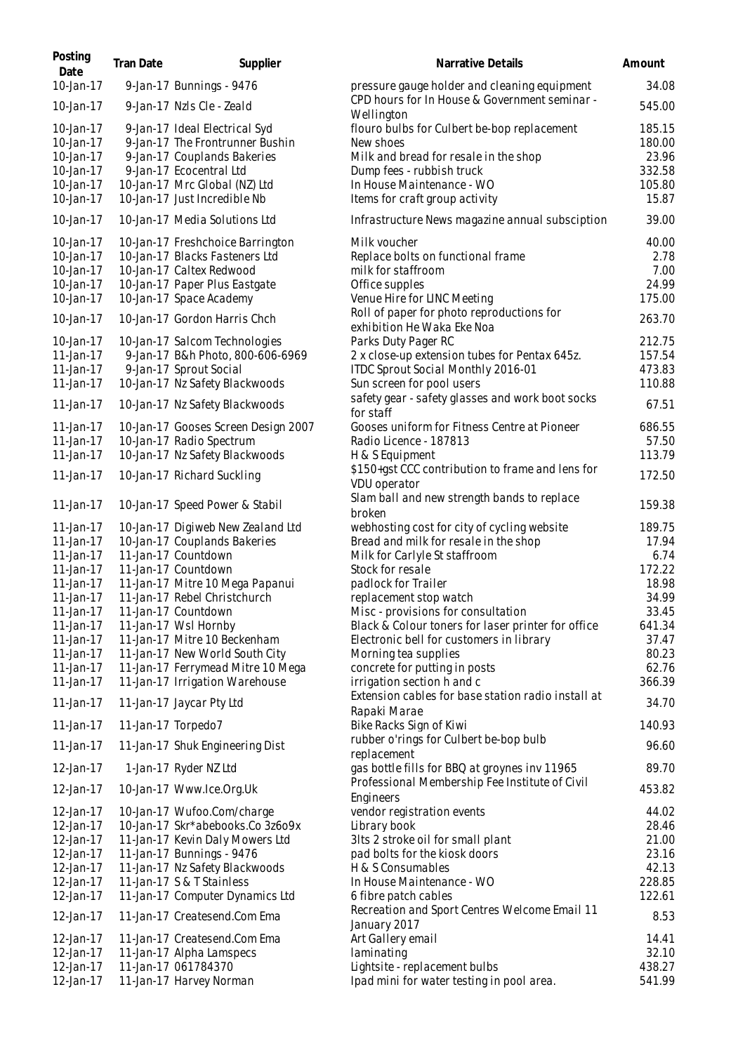| Posting<br>Date                                                            | <b>Tran Date</b>   | Supplier                                                                                                                                                                                    | Narrative Details                                                                                                                                                                             | Amount                                                 |
|----------------------------------------------------------------------------|--------------------|---------------------------------------------------------------------------------------------------------------------------------------------------------------------------------------------|-----------------------------------------------------------------------------------------------------------------------------------------------------------------------------------------------|--------------------------------------------------------|
| 10-Jan-17                                                                  |                    | 9-Jan-17 Bunnings - 9476                                                                                                                                                                    | pressure gauge holder and cleaning equipment                                                                                                                                                  | 34.08                                                  |
| 10-Jan-17                                                                  |                    | 9-Jan-17 Nzls Cle - Zeald                                                                                                                                                                   | CPD hours for In House & Government seminar -<br>Wellington                                                                                                                                   | 545.00                                                 |
| 10-Jan-17<br>10-Jan-17<br>10-Jan-17<br>10-Jan-17<br>10-Jan-17<br>10-Jan-17 |                    | 9-Jan-17 Ideal Electrical Syd<br>9-Jan-17 The Frontrunner Bushin<br>9-Jan-17 Couplands Bakeries<br>9-Jan-17 Ecocentral Ltd<br>10-Jan-17 Mrc Global (NZ) Ltd<br>10-Jan-17 Just Incredible Nb | flouro bulbs for Culbert be-bop replacement<br>New shoes<br>Milk and bread for resale in the shop<br>Dump fees - rubbish truck<br>In House Maintenance - WO<br>Items for craft group activity | 185.15<br>180.00<br>23.96<br>332.58<br>105.80<br>15.87 |
| 10-Jan-17                                                                  |                    | 10-Jan-17 Media Solutions Ltd                                                                                                                                                               | Infrastructure News magazine annual subsciption                                                                                                                                               | 39.00                                                  |
| 10-Jan-17<br>10-Jan-17<br>10-Jan-17<br>10-Jan-17<br>10-Jan-17<br>10-Jan-17 |                    | 10-Jan-17 Freshchoice Barrington<br>10-Jan-17 Blacks Fasteners Ltd<br>10-Jan-17 Caltex Redwood<br>10-Jan-17 Paper Plus Eastgate<br>10-Jan-17 Space Academy<br>10-Jan-17 Gordon Harris Chch  | Milk voucher<br>Replace bolts on functional frame<br>milk for staffroom<br>Office supples<br>Venue Hire for LINC Meeting<br>Roll of paper for photo reproductions for                         | 40.00<br>2.78<br>7.00<br>24.99<br>175.00<br>263.70     |
| 10-Jan-17<br>11-Jan-17<br>11-Jan-17<br>11-Jan-17                           |                    | 10-Jan-17 Salcom Technologies<br>9-Jan-17 B&h Photo, 800-606-6969<br>9-Jan-17 Sprout Social<br>10-Jan-17 Nz Safety Blackwoods                                                               | exhibition He Waka Eke Noa<br>Parks Duty Pager RC<br>2 x close-up extension tubes for Pentax 645z.<br>ITDC Sprout Social Monthly 2016-01<br>Sun screen for pool users                         | 212.75<br>157.54<br>473.83<br>110.88                   |
| 11-Jan-17                                                                  |                    | 10-Jan-17 Nz Safety Blackwoods                                                                                                                                                              | safety gear - safety glasses and work boot socks                                                                                                                                              | 67.51                                                  |
| 11-Jan-17<br>11-Jan-17<br>11-Jan-17                                        |                    | 10-Jan-17 Gooses Screen Design 2007<br>10-Jan-17 Radio Spectrum                                                                                                                             | for staff<br>Gooses uniform for Fitness Centre at Pioneer<br>Radio Licence - 187813                                                                                                           | 686.55<br>57.50<br>113.79                              |
| 11-Jan-17                                                                  |                    | 10-Jan-17 Nz Safety Blackwoods<br>10-Jan-17 Richard Suckling                                                                                                                                | H & S Equipment<br>\$150+gst CCC contribution to frame and lens for<br>VDU operator                                                                                                           | 172.50                                                 |
| 11-Jan-17                                                                  |                    | 10-Jan-17 Speed Power & Stabil                                                                                                                                                              | Slam ball and new strength bands to replace<br>broken                                                                                                                                         | 159.38                                                 |
| 11-Jan-17<br>11-Jan-17<br>11-Jan-17                                        |                    | 10-Jan-17 Digiweb New Zealand Ltd<br>10-Jan-17 Couplands Bakeries<br>11-Jan-17 Countdown                                                                                                    | webhosting cost for city of cycling website<br>Bread and milk for resale in the shop<br>Milk for Carlyle St staffroom                                                                         | 189.75<br>17.94<br>6.74                                |
| 11-Jan-17<br>11-Jan-17<br>11-Jan-17<br>11-Jan-17                           |                    | 11-Jan-17 Countdown<br>11-Jan-17 Mitre 10 Mega Papanui<br>11-Jan-17 Rebel Christchurch<br>11-Jan-17 Countdown                                                                               | Stock for resale<br>padlock for Trailer<br>replacement stop watch<br>Misc - provisions for consultation                                                                                       | 172.22<br>18.98<br>34.99<br>33.45                      |
| 11-Jan-17<br>11-Jan-17<br>11-Jan-17                                        |                    | 11-Jan-17 Wsl Hornby<br>11-Jan-17 Mitre 10 Beckenham<br>11-Jan-17 New World South City                                                                                                      | Black & Colour toners for laser printer for office<br>Electronic bell for customers in library<br>Morning tea supplies                                                                        | 641.34<br>37.47<br>80.23                               |
| 11-Jan-17<br>11-Jan-17                                                     |                    | 11-Jan-17 Ferrymead Mitre 10 Mega<br>11-Jan-17 Irrigation Warehouse                                                                                                                         | concrete for putting in posts<br>irrigation section h and c<br>Extension cables for base station radio install at                                                                             | 62.76<br>366.39                                        |
| $11$ -Jan-17<br>11-Jan-17                                                  | 11-Jan-17 Torpedo7 | 11-Jan-17 Jaycar Pty Ltd                                                                                                                                                                    | Rapaki Marae<br>Bike Racks Sign of Kiwi                                                                                                                                                       | 34.70<br>140.93                                        |
| 11-Jan-17                                                                  |                    | 11-Jan-17 Shuk Engineering Dist                                                                                                                                                             | rubber o'rings for Culbert be-bop bulb<br>replacement                                                                                                                                         | 96.60                                                  |
| 12-Jan-17                                                                  |                    | 1-Jan-17 Ryder NZ Ltd                                                                                                                                                                       | gas bottle fills for BBQ at groynes inv 11965                                                                                                                                                 | 89.70                                                  |
| 12-Jan-17                                                                  |                    | 10-Jan-17 Www.lce.Org.Uk                                                                                                                                                                    | Professional Membership Fee Institute of Civil<br>Engineers                                                                                                                                   | 453.82                                                 |
| 12-Jan-17<br>12-Jan-17<br>12-Jan-17<br>12-Jan-17                           |                    | 10-Jan-17 Wufoo.Com/charge<br>10-Jan-17 Skr*abebooks.Co 3z6o9x<br>11-Jan-17 Kevin Daly Mowers Ltd<br>11-Jan-17 Bunnings - 9476                                                              | vendor registration events<br>Library book<br>3lts 2 stroke oil for small plant<br>pad bolts for the kiosk doors                                                                              | 44.02<br>28.46<br>21.00<br>23.16                       |
| 12-Jan-17<br>12-Jan-17<br>12-Jan-17                                        |                    | 11-Jan-17 Nz Safety Blackwoods<br>11-Jan-17 S & T Stainless<br>11-Jan-17 Computer Dynamics Ltd                                                                                              | H & S Consumables<br>In House Maintenance - WO<br>6 fibre patch cables                                                                                                                        | 42.13<br>228.85<br>122.61                              |
| 12-Jan-17                                                                  |                    | 11-Jan-17 Createsend.Com Ema                                                                                                                                                                | Recreation and Sport Centres Welcome Email 11<br>January 2017                                                                                                                                 | 8.53                                                   |
| 12-Jan-17<br>12-Jan-17<br>12-Jan-17<br>12-Jan-17                           |                    | 11-Jan-17 Createsend.Com Ema<br>11-Jan-17 Alpha Lamspecs<br>11-Jan-17 061784370<br>11-Jan-17 Harvey Norman                                                                                  | Art Gallery email<br>laminating<br>Lightsite - replacement bulbs<br>Ipad mini for water testing in pool area.                                                                                 | 14.41<br>32.10<br>438.27<br>541.99                     |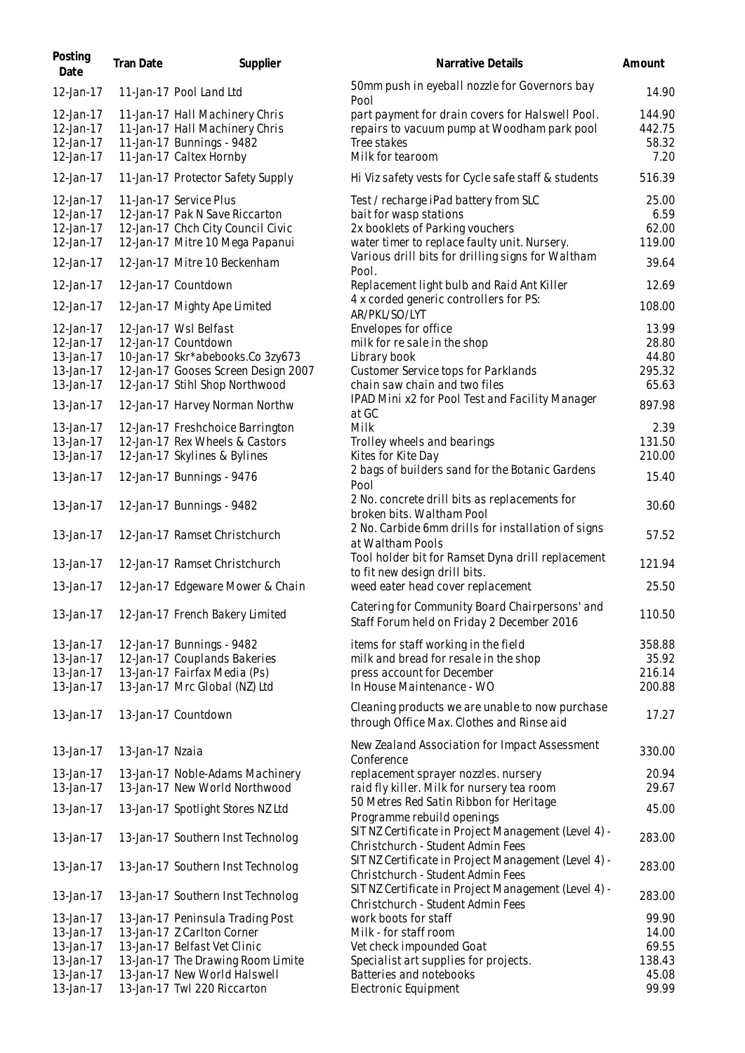| Posting<br>Date                                  | Tran Date       | Supplier                                                                                                                         | Narrative Details                                                                                                                                  | Amount                              |
|--------------------------------------------------|-----------------|----------------------------------------------------------------------------------------------------------------------------------|----------------------------------------------------------------------------------------------------------------------------------------------------|-------------------------------------|
| 12-Jan-17                                        |                 | 11-Jan-17 Pool Land Ltd                                                                                                          | 50mm push in eyeball nozzle for Governors bay                                                                                                      | 14.90                               |
| 12-Jan-17<br>12-Jan-17<br>12-Jan-17<br>12-Jan-17 |                 | 11-Jan-17 Hall Machinery Chris<br>11-Jan-17 Hall Machinery Chris<br>11-Jan-17 Bunnings - 9482<br>11-Jan-17 Caltex Hornby         | Pool<br>part payment for drain covers for Halswell Pool.<br>repairs to vacuum pump at Woodham park pool<br>Tree stakes<br>Milk for tearoom         | 144.90<br>442.75<br>58.32<br>7.20   |
| 12-Jan-17                                        |                 | 11-Jan-17 Protector Safety Supply                                                                                                | Hi Viz safety vests for Cycle safe staff & students                                                                                                | 516.39                              |
| 12-Jan-17<br>12-Jan-17<br>12-Jan-17<br>12-Jan-17 |                 | 11-Jan-17 Service Plus<br>12-Jan-17 Pak N Save Riccarton<br>12-Jan-17 Chch City Council Civic<br>12-Jan-17 Mitre 10 Mega Papanui | Test / recharge iPad battery from SLC<br>bait for wasp stations<br>2x booklets of Parking vouchers<br>water timer to replace faulty unit. Nursery. | 25.00<br>6.59<br>62.00<br>119.00    |
| 12-Jan-17                                        |                 | 12-Jan-17 Mitre 10 Beckenham                                                                                                     | Various drill bits for drilling signs for Waltham                                                                                                  | 39.64                               |
| 12-Jan-17                                        |                 | 12-Jan-17 Countdown                                                                                                              | Pool.<br>Replacement light bulb and Raid Ant Killer                                                                                                | 12.69                               |
| 12-Jan-17                                        |                 | 12-Jan-17 Mighty Ape Limited                                                                                                     | 4 x corded generic controllers for PS:<br>AR/PKL/SO/LYT                                                                                            | 108.00                              |
| 12-Jan-17<br>12-Jan-17<br>13-Jan-17<br>13-Jan-17 |                 | 12-Jan-17 Wsl Belfast<br>12-Jan-17 Countdown<br>10-Jan-17 Skr*abebooks.Co 3zy673<br>12-Jan-17 Gooses Screen Design 2007          | Envelopes for office<br>milk for resale in the shop<br>Library book<br>Customer Service tops for Parklands                                         | 13.99<br>28.80<br>44.80<br>295.32   |
| 13-Jan-17<br>13-Jan-17                           |                 | 12-Jan-17 Stihl Shop Northwood<br>12-Jan-17 Harvey Norman Northw                                                                 | chain saw chain and two files<br>IPAD Mini x2 for Pool Test and Facility Manager                                                                   | 65.63<br>897.98                     |
| 13-Jan-17                                        |                 | 12-Jan-17 Freshchoice Barrington                                                                                                 | at GC<br>Milk                                                                                                                                      | 2.39                                |
| 13-Jan-17<br>13-Jan-17                           |                 | 12-Jan-17 Rex Wheels & Castors<br>12-Jan-17 Skylines & Bylines                                                                   | Trolley wheels and bearings<br>Kites for Kite Day                                                                                                  | 131.50<br>210.00                    |
| 13-Jan-17                                        |                 | 12-Jan-17 Bunnings - 9476                                                                                                        | 2 bags of builders sand for the Botanic Gardens<br>Pool                                                                                            | 15.40                               |
| 13-Jan-17                                        |                 | 12-Jan-17 Bunnings - 9482                                                                                                        | 2 No. concrete drill bits as replacements for<br>broken bits. Waltham Pool                                                                         | 30.60                               |
| 13-Jan-17                                        |                 | 12-Jan-17 Ramset Christchurch                                                                                                    | 2 No. Carbide 6mm drills for installation of signs<br>at Waltham Pools                                                                             | 57.52                               |
| 13-Jan-17                                        |                 | 12-Jan-17 Ramset Christchurch                                                                                                    | Tool holder bit for Ramset Dyna drill replacement<br>to fit new design drill bits.                                                                 | 121.94                              |
| 13-Jan-17                                        |                 | 12-Jan-17 Edgeware Mower & Chain                                                                                                 | weed eater head cover replacement                                                                                                                  | 25.50                               |
| 13-Jan-17                                        |                 | 12-Jan-17 French Bakery Limited                                                                                                  | Catering for Community Board Chairpersons' and<br>Staff Forum held on Friday 2 December 2016                                                       | 110.50                              |
| 13-Jan-17<br>13-Jan-17<br>13-Jan-17<br>13-Jan-17 |                 | 12-Jan-17 Bunnings - 9482<br>12-Jan-17 Couplands Bakeries<br>13-Jan-17 Fairfax Media (Ps)<br>13-Jan-17 Mrc Global (NZ) Ltd       | items for staff working in the field<br>milk and bread for resale in the shop<br>press account for December<br>In House Maintenance - WO           | 358.88<br>35.92<br>216.14<br>200.88 |
| 13-Jan-17                                        |                 | 13-Jan-17 Countdown                                                                                                              | Cleaning products we are unable to now purchase<br>through Office Max. Clothes and Rinse aid                                                       | 17.27                               |
| 13-Jan-17                                        | 13-Jan-17 Nzaia |                                                                                                                                  | New Zealand Association for Impact Assessment<br>Conference                                                                                        | 330.00                              |
| 13-Jan-17                                        |                 | 13-Jan-17 Noble-Adams Machinery                                                                                                  | replacement sprayer nozzles. nursery                                                                                                               | 20.94                               |
| 13-Jan-17                                        |                 | 13-Jan-17 New World Northwood                                                                                                    | raid fly killer. Milk for nursery tea room<br>50 Metres Red Satin Ribbon for Heritage                                                              | 29.67                               |
| 13-Jan-17                                        |                 | 13-Jan-17 Spotlight Stores NZ Ltd                                                                                                | Programme rebuild openings<br>SIT NZ Certificate in Project Management (Level 4) -                                                                 | 45.00                               |
| 13-Jan-17                                        |                 | 13-Jan-17 Southern Inst Technolog                                                                                                | Christchurch - Student Admin Fees<br>SIT NZ Certificate in Project Management (Level 4) -                                                          | 283.00                              |
| 13-Jan-17                                        |                 | 13-Jan-17 Southern Inst Technolog                                                                                                | Christchurch - Student Admin Fees<br>SIT NZ Certificate in Project Management (Level 4) -                                                          | 283.00                              |
| 13-Jan-17                                        |                 | 13-Jan-17 Southern Inst Technolog                                                                                                | Christchurch - Student Admin Fees                                                                                                                  | 283.00                              |
| 13-Jan-17<br>13-Jan-17                           |                 | 13-Jan-17 Peninsula Trading Post<br>13-Jan-17 Z Carlton Corner                                                                   | work boots for staff<br>Milk - for staff room                                                                                                      | 99.90<br>14.00                      |
| 13-Jan-17                                        |                 | 13-Jan-17 Belfast Vet Clinic                                                                                                     | Vet check impounded Goat                                                                                                                           | 69.55                               |
| 13-Jan-17                                        |                 | 13-Jan-17 The Drawing Room Limite                                                                                                | Specialist art supplies for projects.                                                                                                              | 138.43                              |
| 13-Jan-17                                        |                 | 13-Jan-17 New World Halswell                                                                                                     | Batteries and notebooks                                                                                                                            | 45.08                               |
| 13-Jan-17                                        |                 | 13-Jan-17 Twl 220 Riccarton                                                                                                      | Electronic Equipment                                                                                                                               | 99.99                               |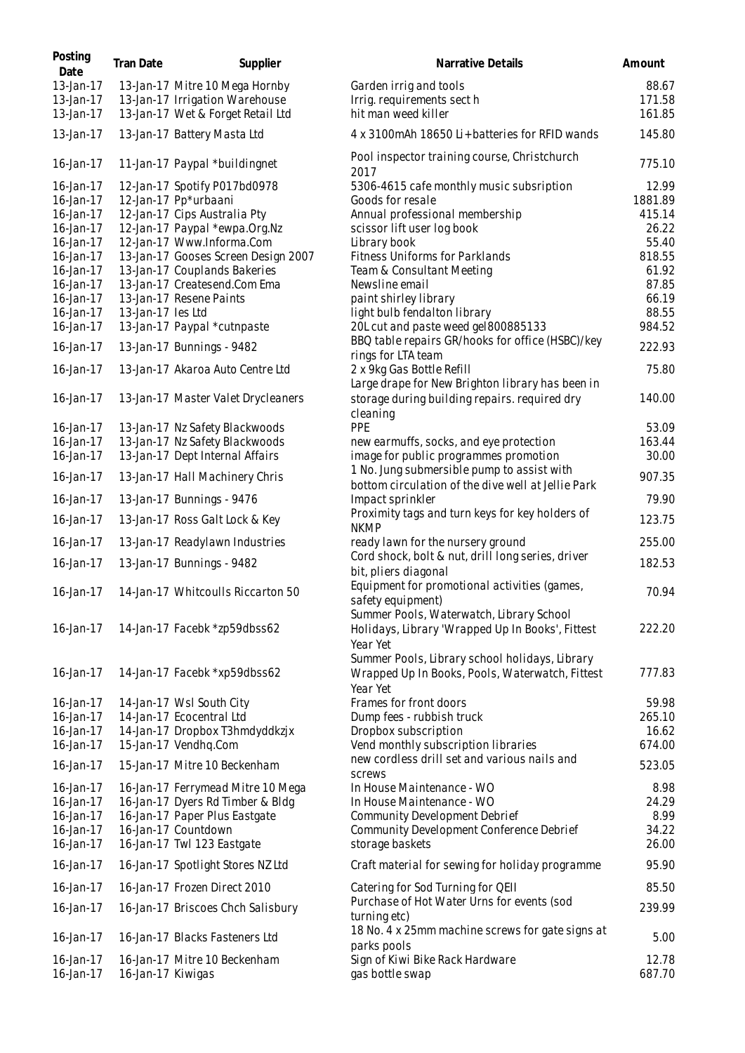| Posting<br>Date        | Tran Date         | Supplier                                                        | Narrative Details                                                                                             | Amount          |
|------------------------|-------------------|-----------------------------------------------------------------|---------------------------------------------------------------------------------------------------------------|-----------------|
| 13-Jan-17              |                   | 13-Jan-17 Mitre 10 Mega Hornby                                  | Garden irrig and tools                                                                                        | 88.67           |
| 13-Jan-17              |                   | 13-Jan-17 Irrigation Warehouse                                  | Irrig. requirements sect h                                                                                    | 171.58          |
| 13-Jan-17              |                   | 13-Jan-17 Wet & Forget Retail Ltd                               | hit man weed killer                                                                                           | 161.85          |
| 13-Jan-17              |                   | 13-Jan-17 Battery Masta Ltd                                     | 4 x 3100 mAh 18650 Li+batteries for RFID wands                                                                | 145.80          |
| 16-Jan-17              |                   | 11-Jan-17 Paypal *buildingnet                                   | Pool inspector training course, Christchurch<br>2017                                                          | 775.10          |
| 16-Jan-17              |                   | 12-Jan-17 Spotify P017bd0978                                    | 5306-4615 cafe monthly music subsription                                                                      | 12.99           |
| 16-Jan-17              |                   | 12-Jan-17 Pp*urbaani                                            | Goods for resale                                                                                              | 1881.89         |
| 16-Jan-17              |                   | 12-Jan-17 Cips Australia Pty                                    | Annual professional membership                                                                                | 415.14          |
| 16-Jan-17              |                   | 12-Jan-17 Paypal *ewpa.Org.Nz                                   | scissor lift user log book                                                                                    | 26.22           |
| 16-Jan-17              |                   | 12-Jan-17 Www.Informa.Com                                       | Library book                                                                                                  | 55.40           |
| 16-Jan-17              |                   | 13-Jan-17 Gooses Screen Design 2007                             | Fitness Uniforms for Parklands                                                                                | 818.55          |
| 16-Jan-17<br>16-Jan-17 |                   | 13-Jan-17 Couplands Bakeries<br>13-Jan-17 Createsend.Com Ema    | Team & Consultant Meeting<br>Newsline email                                                                   | 61.92<br>87.85  |
| 16-Jan-17              |                   | 13-Jan-17 Resene Paints                                         | paint shirley library                                                                                         | 66.19           |
| 16-Jan-17              | 13-Jan-17 les Ltd |                                                                 | light bulb fendalton library                                                                                  | 88.55           |
| 16-Jan-17              |                   | 13-Jan-17 Paypal *cutnpaste                                     | 20L cut and paste weed gel800885133                                                                           | 984.52          |
|                        |                   |                                                                 | BBQ table repairs GR/hooks for office (HSBC)/key                                                              |                 |
| 16-Jan-17              |                   | 13-Jan-17 Bunnings - 9482                                       | rings for LTA team                                                                                            | 222.93          |
| 16-Jan-17              |                   | 13-Jan-17 Akaroa Auto Centre Ltd                                | 2 x 9kg Gas Bottle Refill                                                                                     | 75.80           |
|                        |                   |                                                                 | Large drape for New Brighton library has been in                                                              |                 |
| 16-Jan-17              |                   | 13-Jan-17 Master Valet Drycleaners                              | storage during building repairs. required dry<br>cleaning                                                     | 140.00          |
| 16-Jan-17              |                   | 13-Jan-17 Nz Safety Blackwoods                                  | PPE                                                                                                           | 53.09           |
| 16-Jan-17              |                   | 13-Jan-17 Nz Safety Blackwoods                                  | new earmuffs, socks, and eye protection                                                                       | 163.44          |
| 16-Jan-17              |                   | 13-Jan-17 Dept Internal Affairs                                 | image for public programmes promotion                                                                         | 30.00           |
| 16-Jan-17              |                   | 13-Jan-17 Hall Machinery Chris                                  | 1 No. Jung submersible pump to assist with<br>bottom circulation of the dive well at Jellie Park              | 907.35          |
| 16-Jan-17              |                   | 13-Jan-17 Bunnings - 9476                                       | Impact sprinkler                                                                                              | 79.90           |
| 16-Jan-17              |                   | 13-Jan-17 Ross Galt Lock & Key                                  | Proximity tags and turn keys for key holders of<br><b>NKMP</b>                                                | 123.75          |
| 16-Jan-17              |                   | 13-Jan-17 Readylawn Industries                                  | ready lawn for the nursery ground                                                                             | 255.00          |
| 16-Jan-17              |                   | 13-Jan-17 Bunnings - 9482                                       | Cord shock, bolt & nut, drill long series, driver<br>bit, pliers diagonal                                     | 182.53          |
| 16-Jan-17              |                   | 14-Jan-17 Whitcoulls Riccarton 50                               | Equipment for promotional activities (games,<br>safety equipment)<br>Summer Pools, Waterwatch, Library School | 70.94           |
| 16-Jan-17              |                   | 14-Jan-17 Facebk *zp59dbss62                                    | Holidays, Library 'Wrapped Up In Books', Fittest<br>Year Yet                                                  | 222.20          |
| 16-Jan-17              |                   | 14-Jan-17 Facebk *xp59dbss62                                    | Summer Pools, Library school holidays, Library<br>Wrapped Up In Books, Pools, Waterwatch, Fittest<br>Year Yet | 777.83          |
| 16-Jan-17              |                   | 14-Jan-17 Wsl South City                                        | Frames for front doors                                                                                        | 59.98           |
| 16-Jan-17              |                   | 14-Jan-17 Ecocentral Ltd                                        | Dump fees - rubbish truck                                                                                     | 265.10          |
| 16-Jan-17              |                   | 14-Jan-17 Dropbox T3hmdyddkzjx                                  | Dropbox subscription                                                                                          | 16.62           |
| 16-Jan-17              |                   | 15-Jan-17 Vendhq.Com                                            | Vend monthly subscription libraries                                                                           | 674.00          |
| 16-Jan-17              |                   | 15-Jan-17 Mitre 10 Beckenham                                    | new cordless drill set and various nails and<br>screws                                                        | 523.05          |
| 16-Jan-17              |                   | 16-Jan-17 Ferrymead Mitre 10 Mega                               | In House Maintenance - WO                                                                                     | 8.98            |
| 16-Jan-17              |                   | 16-Jan-17 Dyers Rd Timber & Bldg                                | In House Maintenance - WO                                                                                     | 24.29           |
| 16-Jan-17              |                   | 16-Jan-17 Paper Plus Eastgate                                   | Community Development Debrief                                                                                 | 8.99            |
| 16-Jan-17              |                   | 16-Jan-17 Countdown                                             | Community Development Conference Debrief                                                                      | 34.22           |
| 16-Jan-17<br>16-Jan-17 |                   | 16-Jan-17 Twl 123 Eastgate<br>16-Jan-17 Spotlight Stores NZ Ltd | storage baskets<br>Craft material for sewing for holiday programme                                            | 26.00<br>95.90  |
|                        |                   |                                                                 |                                                                                                               |                 |
| 16-Jan-17              |                   | 16-Jan-17 Frozen Direct 2010                                    | Catering for Sod Turning for QEII                                                                             | 85.50           |
| 16-Jan-17              |                   | 16-Jan-17 Briscoes Chch Salisbury                               | Purchase of Hot Water Urns for events (sod<br>turning etc)                                                    | 239.99          |
| 16-Jan-17              |                   | 16-Jan-17 Blacks Fasteners Ltd                                  | 18 No. 4 x 25mm machine screws for gate signs at<br>parks pools                                               | 5.00            |
| 16-Jan-17<br>16-Jan-17 | 16-Jan-17 Kiwigas | 16-Jan-17 Mitre 10 Beckenham                                    | Sign of Kiwi Bike Rack Hardware<br>gas bottle swap                                                            | 12.78<br>687.70 |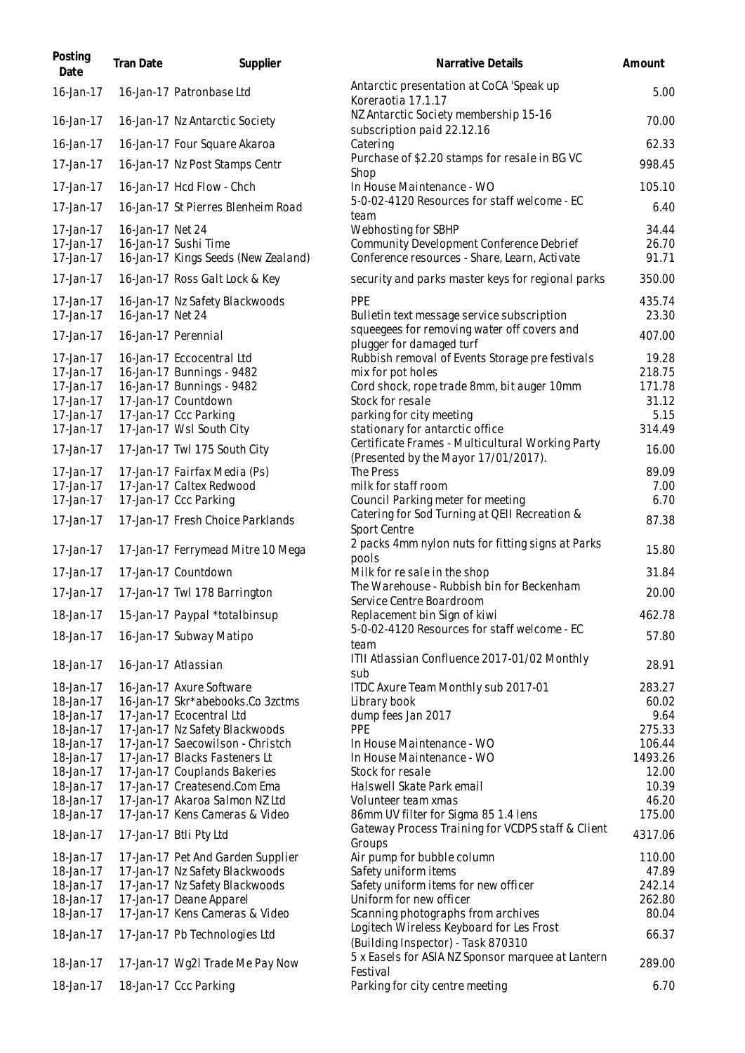| Posting<br>Date        | <b>Tran Date</b> | Supplier                                               | Narrative Details                                                                         | Amount          |
|------------------------|------------------|--------------------------------------------------------|-------------------------------------------------------------------------------------------|-----------------|
| 16-Jan-17              |                  | 16-Jan-17 Patronbase Ltd                               | Antarctic presentation at CoCA 'Speak up<br>Koreraotia 17.1.17                            | 5.00            |
| 16-Jan-17              |                  | 16-Jan-17 Nz Antarctic Society                         | NZ Antarctic Society membership 15-16<br>subscription paid 22.12.16                       | 70.00           |
| 16-Jan-17              |                  | 16-Jan-17 Four Square Akaroa                           | Catering                                                                                  | 62.33           |
| 17-Jan-17              |                  | 16-Jan-17 Nz Post Stamps Centr                         | Purchase of \$2.20 stamps for resale in BG VC<br>Shop                                     | 998.45          |
| 17-Jan-17              |                  | 16-Jan-17 Hcd Flow - Chch                              | In House Maintenance - WO                                                                 | 105.10          |
| 17-Jan-17              |                  | 16-Jan-17 St Pierres Blenheim Road                     | 5-0-02-4120 Resources for staff welcome - EC<br>team                                      | 6.40            |
| 17-Jan-17              | 16-Jan-17 Net 24 |                                                        | Webhosting for SBHP                                                                       | 34.44           |
| 17-Jan-17              |                  | 16-Jan-17 Sushi Time                                   | Community Development Conference Debrief                                                  | 26.70           |
| 17-Jan-17              |                  | 16-Jan-17 Kings Seeds (New Zealand)                    | Conference resources - Share, Learn, Activate                                             | 91.71           |
| 17-Jan-17              |                  | 16-Jan-17 Ross Galt Lock & Key                         | security and parks master keys for regional parks                                         | 350.00          |
| 17-Jan-17              |                  | 16-Jan-17 Nz Safety Blackwoods                         | <b>PPE</b>                                                                                | 435.74          |
| 17-Jan-17              | 16-Jan-17 Net 24 |                                                        | Bulletin text message service subscription<br>squeegees for removing water off covers and | 23.30           |
| 17-Jan-17              |                  | 16-Jan-17 Perennial                                    | plugger for damaged turf                                                                  | 407.00          |
| 17-Jan-17<br>17-Jan-17 |                  | 16-Jan-17 Eccocentral Ltd<br>16-Jan-17 Bunnings - 9482 | Rubbish removal of Events Storage pre festivals<br>mix for pot holes                      | 19.28<br>218.75 |
| 17-Jan-17              |                  | 16-Jan-17 Bunnings - 9482                              | Cord shock, rope trade 8mm, bit auger 10mm                                                | 171.78          |
| 17-Jan-17              |                  | 17-Jan-17 Countdown                                    | Stock for resale                                                                          | 31.12           |
| 17-Jan-17              |                  | 17-Jan-17 Ccc Parking                                  | parking for city meeting                                                                  | 5.15            |
| 17-Jan-17              |                  | 17-Jan-17 Wsl South City                               | stationary for antarctic office                                                           | 314.49          |
| 17-Jan-17              |                  | 17-Jan-17 Twl 175 South City                           | Certificate Frames - Multicultural Working Party<br>(Presented by the Mayor 17/01/2017).  | 16.00           |
| 17-Jan-17              |                  | 17-Jan-17 Fairfax Media (Ps)                           | The Press                                                                                 | 89.09           |
| 17-Jan-17              |                  | 17-Jan-17 Caltex Redwood                               | milk for staff room                                                                       | 7.00            |
| 17-Jan-17              |                  | 17-Jan-17 Ccc Parking                                  | Council Parking meter for meeting                                                         | 6.70            |
| 17-Jan-17              |                  | 17-Jan-17 Fresh Choice Parklands                       | Catering for Sod Turning at QEII Recreation &<br>Sport Centre                             | 87.38           |
| 17-Jan-17              |                  | 17-Jan-17 Ferrymead Mitre 10 Mega                      | 2 packs 4mm nylon nuts for fitting signs at Parks<br>pools                                | 15.80           |
| 17-Jan-17              |                  | 17-Jan-17 Countdown                                    | Milk for resale in the shop                                                               | 31.84           |
| 17-Jan-17              |                  | 17-Jan-17 Twl 178 Barrington                           | The Warehouse - Rubbish bin for Beckenham                                                 | 20.00           |
| 18-Jan-17              |                  |                                                        | Service Centre Boardroom                                                                  | 462.78          |
|                        |                  | 15-Jan-17 Paypal *totalbinsup                          | Replacement bin Sign of kiwi<br>5-0-02-4120 Resources for staff welcome - EC              |                 |
| 18-Jan-17              |                  | 16-Jan-17 Subway Matipo                                | team                                                                                      | 57.80           |
| 18-Jan-17              |                  | 16-Jan-17 Atlassian                                    | ITII Atlassian Confluence 2017-01/02 Monthly<br>sub                                       | 28.91           |
| 18-Jan-17              |                  | 16-Jan-17 Axure Software                               | ITDC Axure Team Monthly sub 2017-01                                                       | 283.27          |
| 18-Jan-17              |                  | 16-Jan-17 Skr*abebooks.Co 3zctms                       | Library book                                                                              | 60.02           |
| 18-Jan-17              |                  | 17-Jan-17 Ecocentral Ltd                               | dump fees Jan 2017                                                                        | 9.64            |
| 18-Jan-17              |                  | 17-Jan-17 Nz Safety Blackwoods                         | PPE                                                                                       | 275.33          |
| 18-Jan-17              |                  | 17-Jan-17 Saecowilson - Christch                       | In House Maintenance - WO                                                                 | 106.44          |
| 18-Jan-17              |                  | 17-Jan-17 Blacks Fasteners Lt                          | In House Maintenance - WO                                                                 | 1493.26         |
| 18-Jan-17              |                  | 17-Jan-17 Couplands Bakeries                           | Stock for resale                                                                          | 12.00           |
| 18-Jan-17              |                  | 17-Jan-17 Createsend.Com Ema                           | Halswell Skate Park email                                                                 | 10.39           |
| 18-Jan-17              |                  | 17-Jan-17 Akaroa Salmon NZ Ltd                         | Volunteer team xmas                                                                       | 46.20           |
| 18-Jan-17              |                  | 17-Jan-17 Kens Cameras & Video                         | 86mm UV filter for Sigma 85 1.4 lens                                                      | 175.00          |
| 18-Jan-17              |                  | 17-Jan-17 Btli Pty Ltd                                 | Gateway Process Training for VCDPS staff & Client<br>Groups                               | 4317.06         |
| 18-Jan-17              |                  | 17-Jan-17 Pet And Garden Supplier                      | Air pump for bubble column                                                                | 110.00          |
| 18-Jan-17              |                  | 17-Jan-17 Nz Safety Blackwoods                         | Safety uniform items                                                                      | 47.89           |
| 18-Jan-17              |                  | 17-Jan-17 Nz Safety Blackwoods                         | Safety uniform items for new officer                                                      | 242.14          |
| 18-Jan-17              |                  | 17-Jan-17 Deane Apparel                                | Uniform for new officer                                                                   | 262.80          |
| 18-Jan-17              |                  | 17-Jan-17 Kens Cameras & Video                         | Scanning photographs from archives                                                        | 80.04           |
| 18-Jan-17              |                  | 17-Jan-17 Pb Technologies Ltd                          | Logitech Wireless Keyboard for Les Frost<br>(Building Inspector) - Task 870310            | 66.37           |
| 18-Jan-17              |                  | 17-Jan-17 Wg2l Trade Me Pay Now                        | 5 x Easels for ASIA NZ Sponsor marquee at Lantern                                         | 289.00          |
| 18-Jan-17              |                  | 18-Jan-17 Ccc Parking                                  | Festival<br>Parking for city centre meeting                                               | 6.70            |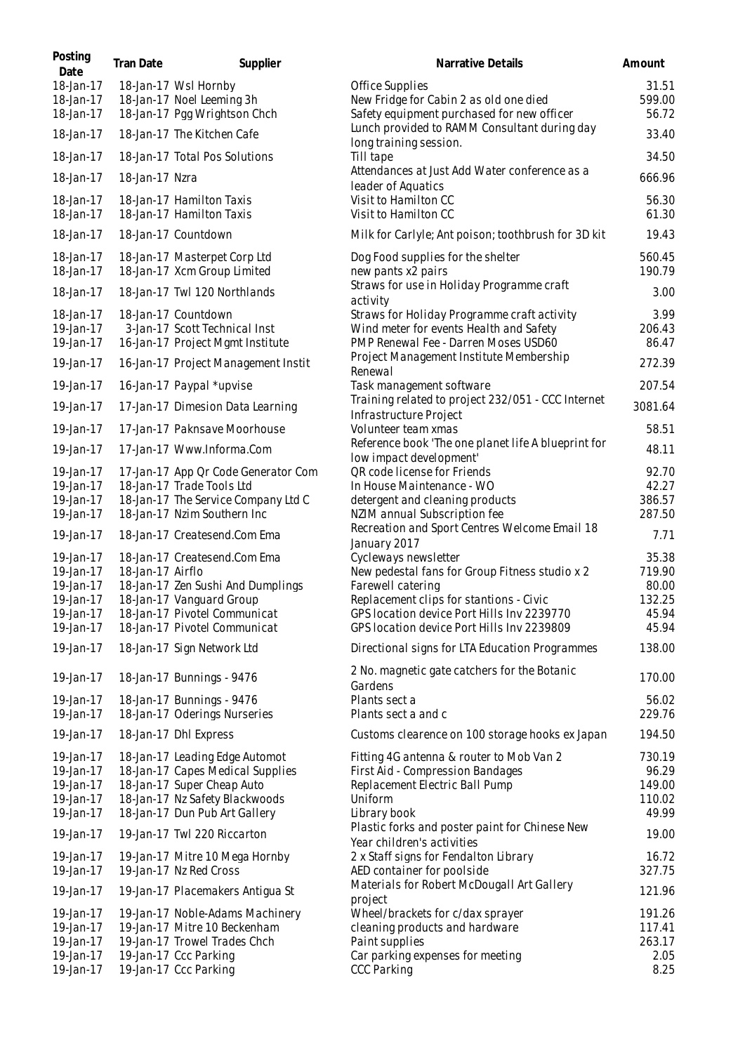| Posting<br>Date                     | Tran Date        | Supplier                                                                                 | Narrative Details                                                                                                                                                         | Amount                   |
|-------------------------------------|------------------|------------------------------------------------------------------------------------------|---------------------------------------------------------------------------------------------------------------------------------------------------------------------------|--------------------------|
| 18-Jan-17<br>18-Jan-17<br>18-Jan-17 |                  | 18-Jan-17 Wsl Hornby<br>18-Jan-17 Noel Leeming 3h<br>18-Jan-17 Pgg Wrightson Chch        | Office Supplies<br>New Fridge for Cabin 2 as old one died<br>Safety equipment purchased for new officer                                                                   | 31.51<br>599.00<br>56.72 |
| 18-Jan-17                           |                  | 18-Jan-17 The Kitchen Cafe                                                               | Lunch provided to RAMM Consultant during day                                                                                                                              | 33.40                    |
| 18-Jan-17                           |                  | 18-Jan-17 Total Pos Solutions                                                            | long training session.<br>Till tape                                                                                                                                       | 34.50                    |
| 18-Jan-17                           | 18-Jan-17 Nzra   |                                                                                          | Attendances at Just Add Water conference as a                                                                                                                             | 666.96                   |
| 18-Jan-17                           |                  | 18-Jan-17 Hamilton Taxis                                                                 | leader of Aquatics<br>Visit to Hamilton CC                                                                                                                                | 56.30                    |
| 18-Jan-17                           |                  | 18-Jan-17 Hamilton Taxis                                                                 | Visit to Hamilton CC                                                                                                                                                      | 61.30                    |
| 18-Jan-17                           |                  | 18-Jan-17 Countdown                                                                      | Milk for Carlyle; Ant poison; toothbrush for 3D kit                                                                                                                       | 19.43                    |
| 18-Jan-17<br>18-Jan-17              |                  | 18-Jan-17 Masterpet Corp Ltd<br>18-Jan-17 Xcm Group Limited                              | Dog Food supplies for the shelter<br>new pants x2 pairs                                                                                                                   | 560.45<br>190.79         |
| 18-Jan-17                           |                  | 18-Jan-17 Twl 120 Northlands                                                             | Straws for use in Holiday Programme craft<br>activity                                                                                                                     | 3.00                     |
| 18-Jan-17<br>19-Jan-17<br>19-Jan-17 |                  | 18-Jan-17 Countdown<br>3-Jan-17 Scott Technical Inst<br>16-Jan-17 Project Mgmt Institute | Straws for Holiday Programme craft activity<br>Wind meter for events Health and Safety<br>PMP Renewal Fee - Darren Moses USD60<br>Project Management Institute Membership | 3.99<br>206.43<br>86.47  |
| 19-Jan-17                           |                  | 16-Jan-17 Project Management Instit                                                      | Renewal                                                                                                                                                                   | 272.39                   |
| 19-Jan-17                           |                  | 16-Jan-17 Paypal *upvise                                                                 | Task management software<br>Training related to project 232/051 - CCC Internet                                                                                            | 207.54                   |
| 19-Jan-17                           |                  | 17-Jan-17 Dimesion Data Learning                                                         | Infrastructure Project                                                                                                                                                    | 3081.64                  |
| 19-Jan-17                           |                  | 17-Jan-17 Paknsave Moorhouse                                                             | Volunteer team xmas<br>Reference book 'The one planet life A blueprint for                                                                                                | 58.51                    |
| 19-Jan-17                           |                  | 17-Jan-17 Www.Informa.Com                                                                | low impact development'                                                                                                                                                   | 48.11                    |
| 19-Jan-17                           |                  | 17-Jan-17 App Qr Code Generator Com                                                      | QR code license for Friends                                                                                                                                               | 92.70                    |
| 19-Jan-17<br>19-Jan-17              |                  | 18-Jan-17 Trade Tools Ltd<br>18-Jan-17 The Service Company Ltd C                         | In House Maintenance - WO                                                                                                                                                 | 42.27<br>386.57          |
| 19-Jan-17                           |                  | 18-Jan-17 Nzim Southern Inc                                                              | detergent and cleaning products<br>NZIM annual Subscription fee                                                                                                           | 287.50                   |
| 19-Jan-17                           |                  | 18-Jan-17 Createsend.Com Ema                                                             | Recreation and Sport Centres Welcome Email 18                                                                                                                             | 7.71                     |
| 19-Jan-17                           |                  | 18-Jan-17 Createsend.Com Ema                                                             | January 2017<br>Cycleways newsletter                                                                                                                                      | 35.38                    |
| 19-Jan-17                           | 18-Jan-17 Airflo |                                                                                          | New pedestal fans for Group Fitness studio x 2                                                                                                                            | 719.90                   |
| 19-Jan-17                           |                  | 18-Jan-17 Zen Sushi And Dumplings                                                        | Farewell catering                                                                                                                                                         | 80.00                    |
| 19-Jan-17                           |                  | 18-Jan-17 Vanguard Group                                                                 | Replacement clips for stantions - Civic                                                                                                                                   | 132.25                   |
| 19-Jan-17                           |                  | 18-Jan-17 Pivotel Communicat                                                             | GPS location device Port Hills Inv 2239770                                                                                                                                | 45.94                    |
| 19-Jan-17                           |                  | 18-Jan-17 Pivotel Communicat                                                             | GPS location device Port Hills Inv 2239809                                                                                                                                | 45.94                    |
| 19-Jan-17                           |                  | 18-Jan-17 Sign Network Ltd                                                               | Directional signs for LTA Education Programmes                                                                                                                            | 138.00                   |
| 19-Jan-17                           |                  | 18-Jan-17 Bunnings - 9476                                                                | 2 No. magnetic gate catchers for the Botanic                                                                                                                              | 170.00                   |
| 19-Jan-17                           |                  | 18-Jan-17 Bunnings - 9476                                                                | Gardens<br>Plants sect a                                                                                                                                                  | 56.02                    |
| 19-Jan-17                           |                  | 18-Jan-17 Oderings Nurseries                                                             | Plants sect a and c                                                                                                                                                       | 229.76                   |
| 19-Jan-17                           |                  | 18-Jan-17 Dhl Express                                                                    | Customs clearence on 100 storage hooks ex Japan                                                                                                                           | 194.50                   |
| 19-Jan-17                           |                  | 18-Jan-17 Leading Edge Automot                                                           | Fitting 4G antenna & router to Mob Van 2                                                                                                                                  | 730.19                   |
| 19-Jan-17                           |                  | 18-Jan-17 Capes Medical Supplies                                                         | First Aid - Compression Bandages                                                                                                                                          | 96.29                    |
| 19-Jan-17                           |                  | 18-Jan-17 Super Cheap Auto                                                               | Replacement Electric Ball Pump                                                                                                                                            | 149.00                   |
| 19-Jan-17                           |                  | 18-Jan-17 Nz Safety Blackwoods                                                           | Uniform                                                                                                                                                                   | 110.02                   |
| 19-Jan-17                           |                  | 18-Jan-17 Dun Pub Art Gallery                                                            | Library book                                                                                                                                                              | 49.99                    |
| 19-Jan-17                           |                  | 19-Jan-17 Twl 220 Riccarton                                                              | Plastic forks and poster paint for Chinese New<br>Year children's activities                                                                                              | 19.00                    |
| 19-Jan-17<br>19-Jan-17              |                  | 19-Jan-17 Mitre 10 Mega Hornby<br>19-Jan-17 Nz Red Cross                                 | 2 x Staff signs for Fendalton Library<br>AED container for poolside                                                                                                       | 16.72<br>327.75          |
| 19-Jan-17                           |                  | 19-Jan-17 Placemakers Antigua St                                                         | Materials for Robert McDougall Art Gallery                                                                                                                                | 121.96                   |
| 19-Jan-17                           |                  | 19-Jan-17 Noble-Adams Machinery                                                          | project<br>Wheel/brackets for c/dax sprayer                                                                                                                               | 191.26                   |
| 19-Jan-17                           |                  | 19-Jan-17 Mitre 10 Beckenham                                                             | cleaning products and hardware                                                                                                                                            | 117.41                   |
| 19-Jan-17                           |                  | 19-Jan-17 Trowel Trades Chch                                                             | Paint supplies                                                                                                                                                            | 263.17                   |
| 19-Jan-17                           |                  | 19-Jan-17 Ccc Parking                                                                    | Car parking expenses for meeting                                                                                                                                          | 2.05                     |
| 19-Jan-17                           |                  | 19-Jan-17 Ccc Parking                                                                    | <b>CCC Parking</b>                                                                                                                                                        | 8.25                     |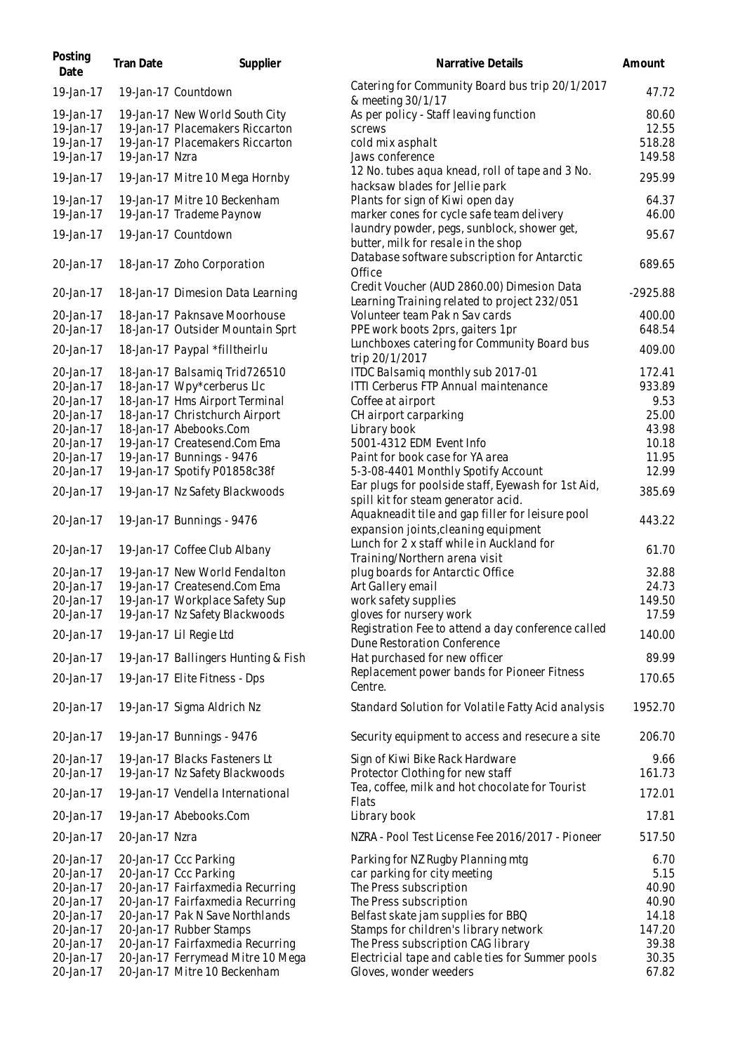| Tran Date | Supplier | Narrative Details                                                                                                                                                                                                                                                                                                                                                                                                                                                                                                                                                                                                                                                                                                                                                                                                                                                                                                                                                                                                                                                                                                                                                                                                                                                                                                                                                                                                                                                                                                                                         | Amount                                                                                                                                                                                                                                                                                                                                                                                                                                                                                                                                                                                                                                                                                                                                                                     |
|-----------|----------|-----------------------------------------------------------------------------------------------------------------------------------------------------------------------------------------------------------------------------------------------------------------------------------------------------------------------------------------------------------------------------------------------------------------------------------------------------------------------------------------------------------------------------------------------------------------------------------------------------------------------------------------------------------------------------------------------------------------------------------------------------------------------------------------------------------------------------------------------------------------------------------------------------------------------------------------------------------------------------------------------------------------------------------------------------------------------------------------------------------------------------------------------------------------------------------------------------------------------------------------------------------------------------------------------------------------------------------------------------------------------------------------------------------------------------------------------------------------------------------------------------------------------------------------------------------|----------------------------------------------------------------------------------------------------------------------------------------------------------------------------------------------------------------------------------------------------------------------------------------------------------------------------------------------------------------------------------------------------------------------------------------------------------------------------------------------------------------------------------------------------------------------------------------------------------------------------------------------------------------------------------------------------------------------------------------------------------------------------|
|           |          | Catering for Community Board bus trip 20/1/2017                                                                                                                                                                                                                                                                                                                                                                                                                                                                                                                                                                                                                                                                                                                                                                                                                                                                                                                                                                                                                                                                                                                                                                                                                                                                                                                                                                                                                                                                                                           | 47.72                                                                                                                                                                                                                                                                                                                                                                                                                                                                                                                                                                                                                                                                                                                                                                      |
|           |          | As per policy - Staff leaving function<br>screws<br>cold mix asphalt                                                                                                                                                                                                                                                                                                                                                                                                                                                                                                                                                                                                                                                                                                                                                                                                                                                                                                                                                                                                                                                                                                                                                                                                                                                                                                                                                                                                                                                                                      | 80.60<br>12.55<br>518.28<br>149.58                                                                                                                                                                                                                                                                                                                                                                                                                                                                                                                                                                                                                                                                                                                                         |
|           |          | 12 No. tubes aqua knead, roll of tape and 3 No.                                                                                                                                                                                                                                                                                                                                                                                                                                                                                                                                                                                                                                                                                                                                                                                                                                                                                                                                                                                                                                                                                                                                                                                                                                                                                                                                                                                                                                                                                                           | 295.99                                                                                                                                                                                                                                                                                                                                                                                                                                                                                                                                                                                                                                                                                                                                                                     |
|           |          | Plants for sign of Kiwi open day<br>marker cones for cycle safe team delivery                                                                                                                                                                                                                                                                                                                                                                                                                                                                                                                                                                                                                                                                                                                                                                                                                                                                                                                                                                                                                                                                                                                                                                                                                                                                                                                                                                                                                                                                             | 64.37<br>46.00                                                                                                                                                                                                                                                                                                                                                                                                                                                                                                                                                                                                                                                                                                                                                             |
|           |          | laundry powder, pegs, sunblock, shower get,<br>butter, milk for resale in the shop                                                                                                                                                                                                                                                                                                                                                                                                                                                                                                                                                                                                                                                                                                                                                                                                                                                                                                                                                                                                                                                                                                                                                                                                                                                                                                                                                                                                                                                                        | 95.67                                                                                                                                                                                                                                                                                                                                                                                                                                                                                                                                                                                                                                                                                                                                                                      |
|           |          | Office                                                                                                                                                                                                                                                                                                                                                                                                                                                                                                                                                                                                                                                                                                                                                                                                                                                                                                                                                                                                                                                                                                                                                                                                                                                                                                                                                                                                                                                                                                                                                    | 689.65                                                                                                                                                                                                                                                                                                                                                                                                                                                                                                                                                                                                                                                                                                                                                                     |
|           |          | Credit Voucher (AUD 2860.00) Dimesion Data<br>Learning Training related to project 232/051                                                                                                                                                                                                                                                                                                                                                                                                                                                                                                                                                                                                                                                                                                                                                                                                                                                                                                                                                                                                                                                                                                                                                                                                                                                                                                                                                                                                                                                                | $-2925.88$                                                                                                                                                                                                                                                                                                                                                                                                                                                                                                                                                                                                                                                                                                                                                                 |
|           |          | Volunteer team Pak n Sav cards<br>PPE work boots 2prs, gaiters 1pr                                                                                                                                                                                                                                                                                                                                                                                                                                                                                                                                                                                                                                                                                                                                                                                                                                                                                                                                                                                                                                                                                                                                                                                                                                                                                                                                                                                                                                                                                        | 400.00<br>648.54                                                                                                                                                                                                                                                                                                                                                                                                                                                                                                                                                                                                                                                                                                                                                           |
|           |          | Lunchboxes catering for Community Board bus<br>trip 20/1/2017                                                                                                                                                                                                                                                                                                                                                                                                                                                                                                                                                                                                                                                                                                                                                                                                                                                                                                                                                                                                                                                                                                                                                                                                                                                                                                                                                                                                                                                                                             | 409.00                                                                                                                                                                                                                                                                                                                                                                                                                                                                                                                                                                                                                                                                                                                                                                     |
|           |          | ITDC Balsamiq monthly sub 2017-01                                                                                                                                                                                                                                                                                                                                                                                                                                                                                                                                                                                                                                                                                                                                                                                                                                                                                                                                                                                                                                                                                                                                                                                                                                                                                                                                                                                                                                                                                                                         | 172.41<br>933.89                                                                                                                                                                                                                                                                                                                                                                                                                                                                                                                                                                                                                                                                                                                                                           |
|           |          |                                                                                                                                                                                                                                                                                                                                                                                                                                                                                                                                                                                                                                                                                                                                                                                                                                                                                                                                                                                                                                                                                                                                                                                                                                                                                                                                                                                                                                                                                                                                                           | 9.53                                                                                                                                                                                                                                                                                                                                                                                                                                                                                                                                                                                                                                                                                                                                                                       |
|           |          |                                                                                                                                                                                                                                                                                                                                                                                                                                                                                                                                                                                                                                                                                                                                                                                                                                                                                                                                                                                                                                                                                                                                                                                                                                                                                                                                                                                                                                                                                                                                                           | 25.00                                                                                                                                                                                                                                                                                                                                                                                                                                                                                                                                                                                                                                                                                                                                                                      |
|           |          |                                                                                                                                                                                                                                                                                                                                                                                                                                                                                                                                                                                                                                                                                                                                                                                                                                                                                                                                                                                                                                                                                                                                                                                                                                                                                                                                                                                                                                                                                                                                                           |                                                                                                                                                                                                                                                                                                                                                                                                                                                                                                                                                                                                                                                                                                                                                                            |
|           |          |                                                                                                                                                                                                                                                                                                                                                                                                                                                                                                                                                                                                                                                                                                                                                                                                                                                                                                                                                                                                                                                                                                                                                                                                                                                                                                                                                                                                                                                                                                                                                           | 43.98                                                                                                                                                                                                                                                                                                                                                                                                                                                                                                                                                                                                                                                                                                                                                                      |
|           |          |                                                                                                                                                                                                                                                                                                                                                                                                                                                                                                                                                                                                                                                                                                                                                                                                                                                                                                                                                                                                                                                                                                                                                                                                                                                                                                                                                                                                                                                                                                                                                           | 10.18                                                                                                                                                                                                                                                                                                                                                                                                                                                                                                                                                                                                                                                                                                                                                                      |
|           |          |                                                                                                                                                                                                                                                                                                                                                                                                                                                                                                                                                                                                                                                                                                                                                                                                                                                                                                                                                                                                                                                                                                                                                                                                                                                                                                                                                                                                                                                                                                                                                           | 11.95                                                                                                                                                                                                                                                                                                                                                                                                                                                                                                                                                                                                                                                                                                                                                                      |
|           |          |                                                                                                                                                                                                                                                                                                                                                                                                                                                                                                                                                                                                                                                                                                                                                                                                                                                                                                                                                                                                                                                                                                                                                                                                                                                                                                                                                                                                                                                                                                                                                           | 12.99                                                                                                                                                                                                                                                                                                                                                                                                                                                                                                                                                                                                                                                                                                                                                                      |
|           |          | Ear plugs for poolside staff, Eyewash for 1st Aid,<br>spill kit for steam generator acid.                                                                                                                                                                                                                                                                                                                                                                                                                                                                                                                                                                                                                                                                                                                                                                                                                                                                                                                                                                                                                                                                                                                                                                                                                                                                                                                                                                                                                                                                 | 385.69                                                                                                                                                                                                                                                                                                                                                                                                                                                                                                                                                                                                                                                                                                                                                                     |
|           |          | expansion joints, cleaning equipment                                                                                                                                                                                                                                                                                                                                                                                                                                                                                                                                                                                                                                                                                                                                                                                                                                                                                                                                                                                                                                                                                                                                                                                                                                                                                                                                                                                                                                                                                                                      | 443.22                                                                                                                                                                                                                                                                                                                                                                                                                                                                                                                                                                                                                                                                                                                                                                     |
|           |          | Training/Northern arena visit                                                                                                                                                                                                                                                                                                                                                                                                                                                                                                                                                                                                                                                                                                                                                                                                                                                                                                                                                                                                                                                                                                                                                                                                                                                                                                                                                                                                                                                                                                                             | 61.70                                                                                                                                                                                                                                                                                                                                                                                                                                                                                                                                                                                                                                                                                                                                                                      |
|           |          |                                                                                                                                                                                                                                                                                                                                                                                                                                                                                                                                                                                                                                                                                                                                                                                                                                                                                                                                                                                                                                                                                                                                                                                                                                                                                                                                                                                                                                                                                                                                                           | 32.88                                                                                                                                                                                                                                                                                                                                                                                                                                                                                                                                                                                                                                                                                                                                                                      |
|           |          |                                                                                                                                                                                                                                                                                                                                                                                                                                                                                                                                                                                                                                                                                                                                                                                                                                                                                                                                                                                                                                                                                                                                                                                                                                                                                                                                                                                                                                                                                                                                                           | 24.73                                                                                                                                                                                                                                                                                                                                                                                                                                                                                                                                                                                                                                                                                                                                                                      |
|           |          |                                                                                                                                                                                                                                                                                                                                                                                                                                                                                                                                                                                                                                                                                                                                                                                                                                                                                                                                                                                                                                                                                                                                                                                                                                                                                                                                                                                                                                                                                                                                                           | 149.50                                                                                                                                                                                                                                                                                                                                                                                                                                                                                                                                                                                                                                                                                                                                                                     |
|           |          | gloves for nursery work                                                                                                                                                                                                                                                                                                                                                                                                                                                                                                                                                                                                                                                                                                                                                                                                                                                                                                                                                                                                                                                                                                                                                                                                                                                                                                                                                                                                                                                                                                                                   | 17.59                                                                                                                                                                                                                                                                                                                                                                                                                                                                                                                                                                                                                                                                                                                                                                      |
|           |          | Dune Restoration Conference                                                                                                                                                                                                                                                                                                                                                                                                                                                                                                                                                                                                                                                                                                                                                                                                                                                                                                                                                                                                                                                                                                                                                                                                                                                                                                                                                                                                                                                                                                                               | 140.00<br>89.99                                                                                                                                                                                                                                                                                                                                                                                                                                                                                                                                                                                                                                                                                                                                                            |
|           |          |                                                                                                                                                                                                                                                                                                                                                                                                                                                                                                                                                                                                                                                                                                                                                                                                                                                                                                                                                                                                                                                                                                                                                                                                                                                                                                                                                                                                                                                                                                                                                           |                                                                                                                                                                                                                                                                                                                                                                                                                                                                                                                                                                                                                                                                                                                                                                            |
|           |          | Centre.                                                                                                                                                                                                                                                                                                                                                                                                                                                                                                                                                                                                                                                                                                                                                                                                                                                                                                                                                                                                                                                                                                                                                                                                                                                                                                                                                                                                                                                                                                                                                   | 170.65                                                                                                                                                                                                                                                                                                                                                                                                                                                                                                                                                                                                                                                                                                                                                                     |
|           |          | Standard Solution for Volatile Fatty Acid analysis                                                                                                                                                                                                                                                                                                                                                                                                                                                                                                                                                                                                                                                                                                                                                                                                                                                                                                                                                                                                                                                                                                                                                                                                                                                                                                                                                                                                                                                                                                        | 1952.70                                                                                                                                                                                                                                                                                                                                                                                                                                                                                                                                                                                                                                                                                                                                                                    |
|           |          | Security equipment to access and resecure a site                                                                                                                                                                                                                                                                                                                                                                                                                                                                                                                                                                                                                                                                                                                                                                                                                                                                                                                                                                                                                                                                                                                                                                                                                                                                                                                                                                                                                                                                                                          | 206.70                                                                                                                                                                                                                                                                                                                                                                                                                                                                                                                                                                                                                                                                                                                                                                     |
|           |          | Protector Clothing for new staff                                                                                                                                                                                                                                                                                                                                                                                                                                                                                                                                                                                                                                                                                                                                                                                                                                                                                                                                                                                                                                                                                                                                                                                                                                                                                                                                                                                                                                                                                                                          | 9.66<br>161.73                                                                                                                                                                                                                                                                                                                                                                                                                                                                                                                                                                                                                                                                                                                                                             |
|           |          | Flats                                                                                                                                                                                                                                                                                                                                                                                                                                                                                                                                                                                                                                                                                                                                                                                                                                                                                                                                                                                                                                                                                                                                                                                                                                                                                                                                                                                                                                                                                                                                                     | 172.01                                                                                                                                                                                                                                                                                                                                                                                                                                                                                                                                                                                                                                                                                                                                                                     |
|           |          | Library book                                                                                                                                                                                                                                                                                                                                                                                                                                                                                                                                                                                                                                                                                                                                                                                                                                                                                                                                                                                                                                                                                                                                                                                                                                                                                                                                                                                                                                                                                                                                              | 17.81                                                                                                                                                                                                                                                                                                                                                                                                                                                                                                                                                                                                                                                                                                                                                                      |
|           |          | NZRA - Pool Test License Fee 2016/2017 - Pioneer                                                                                                                                                                                                                                                                                                                                                                                                                                                                                                                                                                                                                                                                                                                                                                                                                                                                                                                                                                                                                                                                                                                                                                                                                                                                                                                                                                                                                                                                                                          | 517.50                                                                                                                                                                                                                                                                                                                                                                                                                                                                                                                                                                                                                                                                                                                                                                     |
|           |          | Parking for NZ Rugby Planning mtg<br>car parking for city meeting<br>The Press subscription<br>The Press subscription<br>Belfast skate jam supplies for BBQ<br>Stamps for children's library network<br>The Press subscription CAG library<br>Electricial tape and cable ties for Summer pools                                                                                                                                                                                                                                                                                                                                                                                                                                                                                                                                                                                                                                                                                                                                                                                                                                                                                                                                                                                                                                                                                                                                                                                                                                                            | 6.70<br>5.15<br>40.90<br>40.90<br>14.18<br>147.20<br>39.38<br>30.35<br>67.82                                                                                                                                                                                                                                                                                                                                                                                                                                                                                                                                                                                                                                                                                               |
|           |          | 19-Jan-17 Countdown<br>19-Jan-17 New World South City<br>19-Jan-17 Placemakers Riccarton<br>19-Jan-17 Placemakers Riccarton<br>19-Jan-17 Nzra<br>19-Jan-17 Mitre 10 Mega Hornby<br>19-Jan-17 Mitre 10 Beckenham<br>19-Jan-17 Trademe Paynow<br>19-Jan-17 Countdown<br>18-Jan-17 Zoho Corporation<br>18-Jan-17 Dimesion Data Learning<br>18-Jan-17 Paknsave Moorhouse<br>18-Jan-17 Outsider Mountain Sprt<br>18-Jan-17 Paypal *filltheirlu<br>18-Jan-17 Balsamiq Trid726510<br>18-Jan-17 Wpy*cerberus Llc<br>18-Jan-17 Hms Airport Terminal<br>18-Jan-17 Christchurch Airport<br>18-Jan-17 Abebooks.Com<br>19-Jan-17 Createsend.Com Ema<br>19-Jan-17 Bunnings - 9476<br>19-Jan-17 Spotify P01858c38f<br>19-Jan-17 Nz Safety Blackwoods<br>19-Jan-17 Bunnings - 9476<br>19-Jan-17 Coffee Club Albany<br>19-Jan-17 New World Fendalton<br>19-Jan-17 Createsend.Com Ema<br>19-Jan-17 Workplace Safety Sup<br>19-Jan-17 Nz Safety Blackwoods<br>19-Jan-17 Lil Regie Ltd<br>19-Jan-17 Ballingers Hunting & Fish<br>19-Jan-17 Elite Fitness - Dps<br>19-Jan-17 Sigma Aldrich Nz<br>19-Jan-17 Bunnings - 9476<br>19-Jan-17 Blacks Fasteners Lt<br>19-Jan-17 Nz Safety Blackwoods<br>19-Jan-17 Vendella International<br>19-Jan-17 Abebooks.Com<br>20-Jan-17 Nzra<br>20-Jan-17 Ccc Parking<br>20-Jan-17 Ccc Parking<br>20-Jan-17 Fairfaxmedia Recurring<br>20-Jan-17 Fairfaxmedia Recurring<br>20-Jan-17 Pak N Save Northlands<br>20-Jan-17 Rubber Stamps<br>20-Jan-17 Fairfaxmedia Recurring<br>20-Jan-17 Ferrymead Mitre 10 Mega<br>20-Jan-17 Mitre 10 Beckenham | & meeting 30/1/17<br>Jaws conference<br>hacksaw blades for Jellie park<br>Database software subscription for Antarctic<br>ITTI Cerberus FTP Annual maintenance<br>Coffee at airport<br>CH airport carparking<br>Library book<br>5001-4312 EDM Event Info<br>Paint for book case for YA area<br>5-3-08-4401 Monthly Spotify Account<br>Aquakneadit tile and gap filler for leisure pool<br>Lunch for 2 x staff while in Auckland for<br>plug boards for Antarctic Office<br>Art Gallery email<br>work safety supplies<br>Registration Fee to attend a day conference called<br>Hat purchased for new officer<br>Replacement power bands for Pioneer Fitness<br>Sign of Kiwi Bike Rack Hardware<br>Tea, coffee, milk and hot chocolate for Tourist<br>Gloves, wonder weeders |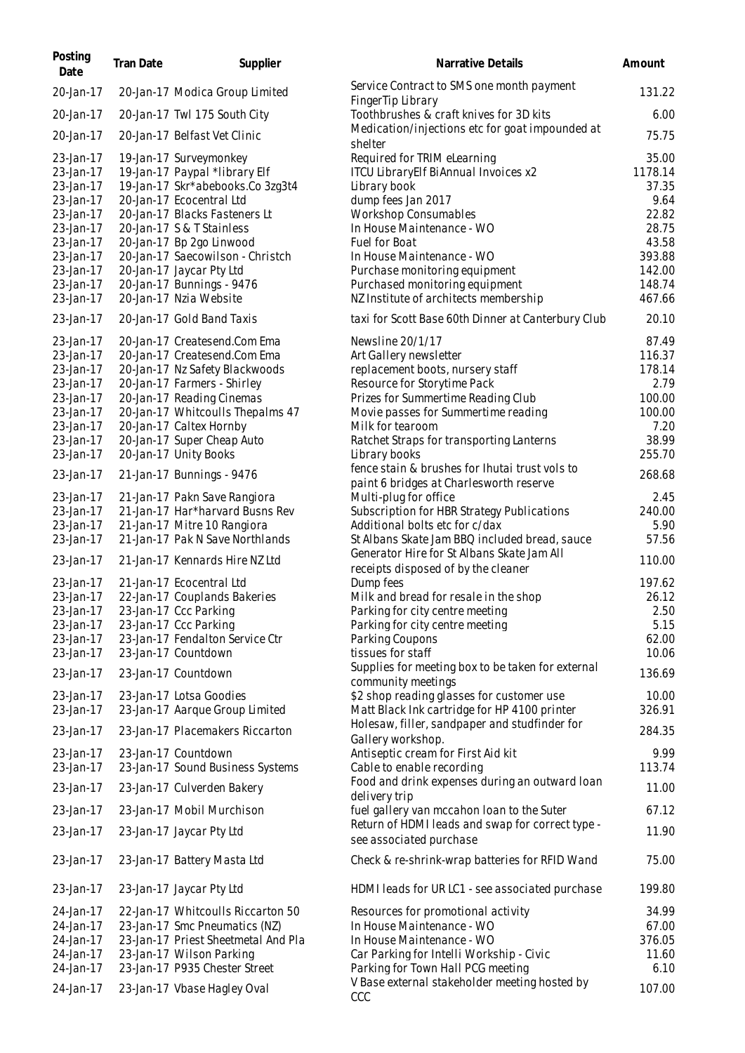| Posting<br>Date        | Tran Date | Supplier                                                      | Narrative Details                                                                         | Amount         |
|------------------------|-----------|---------------------------------------------------------------|-------------------------------------------------------------------------------------------|----------------|
| 20-Jan-17              |           | 20-Jan-17 Modica Group Limited                                | Service Contract to SMS one month payment<br>Finger Tip Library                           | 131.22         |
| 20-Jan-17              |           | 20-Jan-17 Twl 175 South City                                  | Toothbrushes & craft knives for 3D kits                                                   | 6.00           |
| 20-Jan-17              |           | 20-Jan-17 Belfast Vet Clinic                                  | Medication/injections etc for goat impounded at<br>shelter                                | 75.75          |
| 23-Jan-17              |           | 19-Jan-17 Surveymonkey                                        | Required for TRIM eLearning                                                               | 35.00          |
| 23-Jan-17              |           | 19-Jan-17 Paypal *library Elf                                 | ITCU LibraryElf BiAnnual Invoices x2                                                      | 1178.14        |
| 23-Jan-17              |           | 19-Jan-17 Skr*abebooks.Co 3zg3t4                              | Library book                                                                              | 37.35          |
| 23-Jan-17<br>23-Jan-17 |           | 20-Jan-17 Ecocentral Ltd<br>20-Jan-17 Blacks Fasteners Lt     | dump fees Jan 2017<br><b>Workshop Consumables</b>                                         | 9.64<br>22.82  |
| 23-Jan-17              |           | 20-Jan-17 S & T Stainless                                     | In House Maintenance - WO                                                                 | 28.75          |
| 23-Jan-17              |           | 20-Jan-17 Bp 2go Linwood                                      | Fuel for Boat                                                                             | 43.58          |
| 23-Jan-17              |           | 20-Jan-17 Saecowilson - Christch                              | In House Maintenance - WO                                                                 | 393.88         |
| 23-Jan-17              |           | 20-Jan-17 Jaycar Pty Ltd                                      | Purchase monitoring equipment                                                             | 142.00         |
| 23-Jan-17              |           | 20-Jan-17 Bunnings - 9476                                     | Purchased monitoring equipment                                                            | 148.74         |
| 23-Jan-17              |           | 20-Jan-17 Nzia Website                                        | NZ Institute of architects membership                                                     | 467.66         |
| 23-Jan-17              |           | 20-Jan-17 Gold Band Taxis                                     | taxi for Scott Base 60th Dinner at Canterbury Club                                        | 20.10          |
| 23-Jan-17              |           | 20-Jan-17 Createsend.Com Ema                                  | Newsline 20/1/17                                                                          | 87.49          |
| 23-Jan-17              |           | 20-Jan-17 Createsend.Com Ema                                  | Art Gallery newsletter                                                                    | 116.37         |
| 23-Jan-17              |           | 20-Jan-17 Nz Safety Blackwoods<br>20-Jan-17 Farmers - Shirley | replacement boots, nursery staff                                                          | 178.14<br>2.79 |
| 23-Jan-17<br>23-Jan-17 |           | 20-Jan-17 Reading Cinemas                                     | Resource for Storytime Pack<br>Prizes for Summertime Reading Club                         | 100.00         |
| 23-Jan-17              |           | 20-Jan-17 Whitcoulls Thepalms 47                              | Movie passes for Summertime reading                                                       | 100.00         |
| 23-Jan-17              |           | 20-Jan-17 Caltex Hornby                                       | Milk for tearoom                                                                          | 7.20           |
| 23-Jan-17              |           | 20-Jan-17 Super Cheap Auto                                    | Ratchet Straps for transporting Lanterns                                                  | 38.99          |
| 23-Jan-17              |           | 20-Jan-17 Unity Books                                         | Library books                                                                             | 255.70         |
| 23-Jan-17              |           | 21-Jan-17 Bunnings - 9476                                     | fence stain & brushes for Ihutai trust vols to<br>paint 6 bridges at Charlesworth reserve | 268.68         |
| 23-Jan-17              |           | 21-Jan-17 Pakn Save Rangiora                                  | Multi-plug for office                                                                     | 2.45           |
| 23-Jan-17              |           | 21-Jan-17 Har*harvard Busns Rev                               | Subscription for HBR Strategy Publications                                                | 240.00         |
| 23-Jan-17              |           | 21-Jan-17 Mitre 10 Rangiora                                   | Additional bolts etc for c/dax                                                            | 5.90           |
| 23-Jan-17              |           | 21-Jan-17 Pak N Save Northlands                               | St Albans Skate Jam BBQ included bread, sauce                                             | 57.56          |
| 23-Jan-17              |           | 21-Jan-17 Kennards Hire NZ Ltd                                | Generator Hire for St Albans Skate Jam All<br>receipts disposed of by the cleaner         | 110.00         |
| 23-Jan-17              |           | 21-Jan-17 Ecocentral Ltd                                      | Dump fees                                                                                 | 197.62         |
| 23-Jan-17              |           | 22-Jan-17 Couplands Bakeries                                  | Milk and bread for resale in the shop                                                     | 26.12          |
| 23-Jan-17              |           | 23-Jan-17 Ccc Parking                                         | Parking for city centre meeting                                                           | 2.50           |
| 23-Jan-17              |           | 23-Jan-17 Ccc Parking                                         | Parking for city centre meeting                                                           | 5.15           |
| 23-Jan-17              |           | 23-Jan-17 Fendalton Service Ctr                               | Parking Coupons                                                                           | 62.00          |
| 23-Jan-17              |           | 23-Jan-17 Countdown                                           | tissues for staff                                                                         | 10.06          |
| 23-Jan-17              |           | 23-Jan-17 Countdown                                           | Supplies for meeting box to be taken for external<br>community meetings                   | 136.69         |
| 23-Jan-17              |           | 23-Jan-17 Lotsa Goodies                                       | \$2 shop reading glasses for customer use                                                 | 10.00          |
| 23-Jan-17              |           | 23-Jan-17 Aarque Group Limited                                | Matt Black Ink cartridge for HP 4100 printer                                              | 326.91         |
| 23-Jan-17              |           | 23-Jan-17 Placemakers Riccarton                               | Holesaw, filler, sandpaper and studfinder for                                             | 284.35         |
|                        |           |                                                               | Gallery workshop.                                                                         |                |
| 23-Jan-17<br>23-Jan-17 |           | 23-Jan-17 Countdown<br>23-Jan-17 Sound Business Systems       | Antiseptic cream for First Aid kit<br>Cable to enable recording                           | 9.99<br>113.74 |
| 23-Jan-17              |           | 23-Jan-17 Culverden Bakery                                    | Food and drink expenses during an outward loan                                            | 11.00          |
| 23-Jan-17              |           | 23-Jan-17 Mobil Murchison                                     | delivery trip<br>fuel gallery van mccahon loan to the Suter                               | 67.12          |
|                        |           |                                                               | Return of HDMI leads and swap for correct type -                                          |                |
| 23-Jan-17              |           | 23-Jan-17 Jaycar Pty Ltd                                      | see associated purchase                                                                   | 11.90          |
| 23-Jan-17              |           | 23-Jan-17 Battery Masta Ltd                                   | Check & re-shrink-wrap batteries for RFID Wand                                            | 75.00          |
| 23-Jan-17              |           | 23-Jan-17 Jaycar Pty Ltd                                      | HDMI leads for UR LC1 - see associated purchase                                           | 199.80         |
| 24-Jan-17              |           | 22-Jan-17 Whitcoulls Riccarton 50                             | Resources for promotional activity                                                        | 34.99          |
| 24-Jan-17              |           | 23-Jan-17 Smc Pneumatics (NZ)                                 | In House Maintenance - WO                                                                 | 67.00          |
| 24-Jan-17              |           | 23-Jan-17 Priest Sheetmetal And Pla                           | In House Maintenance - WO                                                                 | 376.05         |
| 24-Jan-17              |           | 23-Jan-17 Wilson Parking                                      | Car Parking for Intelli Workship - Civic                                                  | 11.60          |
| 24-Jan-17              |           | 23-Jan-17 P935 Chester Street                                 | Parking for Town Hall PCG meeting<br>V Base external stakeholder meeting hosted by        | 6.10           |
| 24-Jan-17              |           | 23-Jan-17 Vbase Hagley Oval                                   | CCC                                                                                       | 107.00         |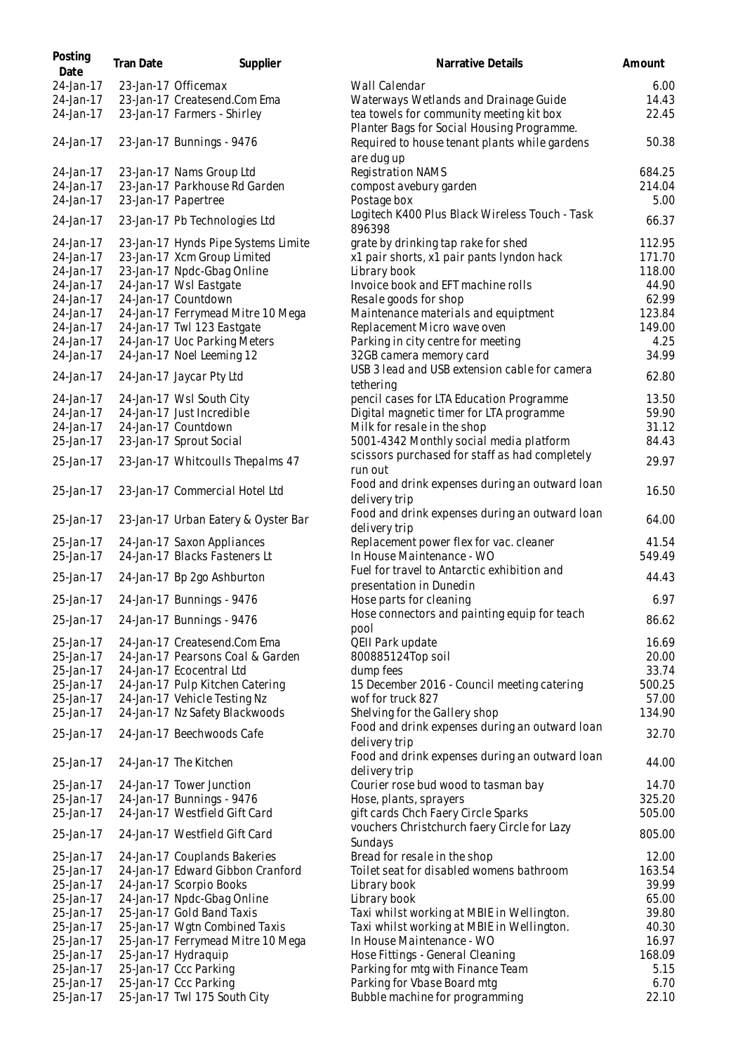| Posting<br>Date        | <b>Tran Date</b> | Supplier                                                    | Narrative Details                                                                      | Amount          |
|------------------------|------------------|-------------------------------------------------------------|----------------------------------------------------------------------------------------|-----------------|
| 24-Jan-17              |                  | 23-Jan-17 Officemax                                         | Wall Calendar                                                                          | 6.00            |
| 24-Jan-17              |                  | 23-Jan-17 Createsend.Com Ema                                | Waterways Wetlands and Drainage Guide                                                  | 14.43           |
| 24-Jan-17              |                  | 23-Jan-17 Farmers - Shirley                                 | tea towels for community meeting kit box<br>Planter Bags for Social Housing Programme. | 22.45           |
| 24-Jan-17              |                  | 23-Jan-17 Bunnings - 9476                                   | Required to house tenant plants while gardens<br>are dug up                            | 50.38           |
| 24-Jan-17              |                  | 23-Jan-17 Nams Group Ltd                                    | Registration NAMS                                                                      | 684.25          |
| 24-Jan-17              |                  | 23-Jan-17 Parkhouse Rd Garden                               | compost avebury garden                                                                 | 214.04          |
| 24-Jan-17              |                  | 23-Jan-17 Papertree                                         | Postage box                                                                            | 5.00            |
| 24-Jan-17              |                  | 23-Jan-17 Pb Technologies Ltd                               | Logitech K400 Plus Black Wireless Touch - Task<br>896398                               | 66.37           |
| 24-Jan-17              |                  | 23-Jan-17 Hynds Pipe Systems Limite                         | grate by drinking tap rake for shed                                                    | 112.95          |
| 24-Jan-17              |                  | 23-Jan-17 Xcm Group Limited                                 | x1 pair shorts, x1 pair pants lyndon hack                                              | 171.70          |
| 24-Jan-17              |                  | 23-Jan-17 Npdc-Gbag Online                                  | Library book                                                                           | 118.00          |
| 24-Jan-17              |                  | 24-Jan-17 Wsl Eastgate                                      | Invoice book and EFT machine rolls                                                     | 44.90           |
| 24-Jan-17              |                  | 24-Jan-17 Countdown                                         | Resale goods for shop                                                                  | 62.99           |
| 24-Jan-17              |                  | 24-Jan-17 Ferrymead Mitre 10 Mega                           | Maintenance materials and equiptment                                                   | 123.84          |
| 24-Jan-17              |                  | 24-Jan-17 Twl 123 Eastgate                                  | Replacement Micro wave oven                                                            | 149.00          |
| 24-Jan-17              |                  | 24-Jan-17 Uoc Parking Meters                                | Parking in city centre for meeting                                                     | 4.25            |
| 24-Jan-17              |                  | 24-Jan-17 Noel Leeming 12                                   | 32GB camera memory card                                                                | 34.99           |
|                        |                  |                                                             | USB 3 lead and USB extension cable for camera                                          |                 |
| 24-Jan-17              |                  | 24-Jan-17 Jaycar Pty Ltd                                    | tethering                                                                              | 62.80           |
| 24-Jan-17              |                  | 24-Jan-17 Wsl South City                                    | pencil cases for LTA Education Programme                                               | 13.50           |
| 24-Jan-17              |                  | 24-Jan-17 Just Incredible                                   | Digital magnetic timer for LTA programme                                               | 59.90           |
| 24-Jan-17              |                  | 24-Jan-17 Countdown                                         | Milk for resale in the shop                                                            | 31.12           |
| 25-Jan-17              |                  | 23-Jan-17 Sprout Social                                     | 5001-4342 Monthly social media platform                                                | 84.43           |
| 25-Jan-17              |                  | 23-Jan-17 Whitcoulls Thepalms 47                            | scissors purchased for staff as had completely<br>run out                              | 29.97           |
| 25-Jan-17              |                  | 23-Jan-17 Commercial Hotel Ltd                              | Food and drink expenses during an outward loan<br>delivery trip                        | 16.50           |
| 25-Jan-17              |                  | 23-Jan-17 Urban Eatery & Oyster Bar                         | Food and drink expenses during an outward loan<br>delivery trip                        | 64.00           |
| 25-Jan-17<br>25-Jan-17 |                  | 24-Jan-17 Saxon Appliances<br>24-Jan-17 Blacks Fasteners Lt | Replacement power flex for vac. cleaner<br>In House Maintenance - WO                   | 41.54<br>549.49 |
| 25-Jan-17              |                  | 24-Jan-17 Bp 2go Ashburton                                  | Fuel for travel to Antarctic exhibition and<br>presentation in Dunedin                 | 44.43           |
| 25-Jan-17              |                  | 24-Jan-17 Bunnings - 9476                                   | Hose parts for cleaning                                                                | 6.97            |
| 25-Jan-17              |                  | 24-Jan-17 Bunnings - 9476                                   | Hose connectors and painting equip for teach<br>pool                                   | 86.62           |
| 25-Jan-17              |                  | 24-Jan-17 Createsend.Com Ema                                | QEII Park update                                                                       | 16.69           |
| 25-Jan-17              |                  | 24-Jan-17 Pearsons Coal & Garden                            | 800885124Top soil                                                                      | 20.00           |
| 25-Jan-17              |                  | 24-Jan-17 Ecocentral Ltd                                    | dump fees                                                                              | 33.74           |
| 25-Jan-17              |                  | 24-Jan-17 Pulp Kitchen Catering                             | 15 December 2016 - Council meeting catering                                            | 500.25          |
| 25-Jan-17              |                  | 24-Jan-17 Vehicle Testing Nz                                | wof for truck 827                                                                      | 57.00           |
| 25-Jan-17              |                  | 24-Jan-17 Nz Safety Blackwoods                              | Shelving for the Gallery shop                                                          | 134.90          |
| 25-Jan-17              |                  | 24-Jan-17 Beechwoods Cafe                                   | Food and drink expenses during an outward loan<br>delivery trip                        | 32.70           |
| 25-Jan-17              |                  | 24-Jan-17 The Kitchen                                       | Food and drink expenses during an outward loan<br>delivery trip                        | 44.00           |
| 25-Jan-17              |                  | 24-Jan-17 Tower Junction                                    | Courier rose bud wood to tasman bay                                                    | 14.70           |
| 25-Jan-17              |                  | 24-Jan-17 Bunnings - 9476                                   | Hose, plants, sprayers                                                                 | 325.20          |
| 25-Jan-17              |                  | 24-Jan-17 Westfield Gift Card                               | gift cards Chch Faery Circle Sparks                                                    | 505.00          |
| 25-Jan-17              |                  | 24-Jan-17 Westfield Gift Card                               | vouchers Christchurch faery Circle for Lazy<br>Sundays                                 | 805.00          |
| 25-Jan-17              |                  | 24-Jan-17 Couplands Bakeries                                | Bread for resale in the shop                                                           | 12.00           |
| 25-Jan-17              |                  | 24-Jan-17 Edward Gibbon Cranford                            | Toilet seat for disabled womens bathroom                                               | 163.54          |
| 25-Jan-17              |                  | 24-Jan-17 Scorpio Books                                     | Library book                                                                           | 39.99           |
| 25-Jan-17              |                  | 24-Jan-17 Npdc-Gbag Online                                  | Library book                                                                           | 65.00           |
| 25-Jan-17              |                  | 25-Jan-17 Gold Band Taxis                                   | Taxi whilst working at MBIE in Wellington.                                             | 39.80           |
| 25-Jan-17              |                  | 25-Jan-17 Wgtn Combined Taxis                               | Taxi whilst working at MBIE in Wellington.                                             | 40.30           |
| 25-Jan-17              |                  | 25-Jan-17 Ferrymead Mitre 10 Mega                           | In House Maintenance - WO                                                              | 16.97           |
| 25-Jan-17              |                  | 25-Jan-17 Hydraquip                                         | Hose Fittings - General Cleaning                                                       | 168.09          |
| 25-Jan-17              |                  | 25-Jan-17 Ccc Parking                                       | Parking for mtg with Finance Team                                                      | 5.15            |
| 25-Jan-17              |                  | 25-Jan-17 Ccc Parking                                       | Parking for Vbase Board mtg                                                            | 6.70            |
| 25-Jan-17              |                  | 25-Jan-17 Twl 175 South City                                | Bubble machine for programming                                                         | 22.10           |